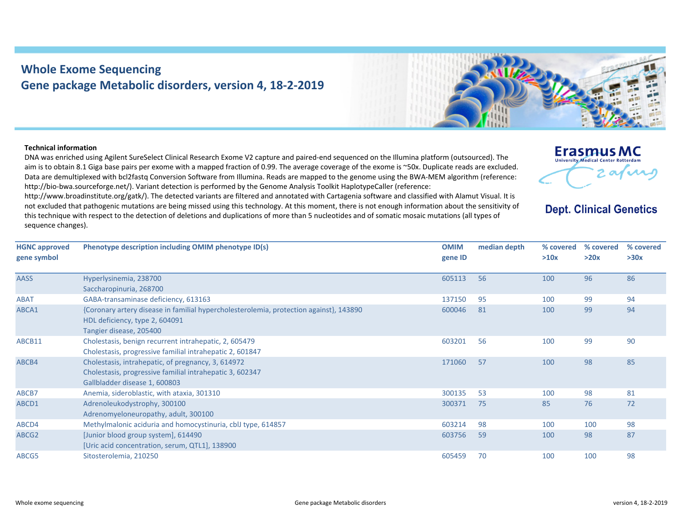## **Whole Exome Sequencing Gene package Metabolic disorders, version 4, 18‐2‐2019**



## **Technical information**

DNA was enriched using Agilent SureSelect Clinical Research Exome V2 capture and paired‐end sequenced on the Illumina platform (outsourced). The aim is to obtain 8.1 Giga base pairs per exome with <sup>a</sup> mapped fraction of 0.99. The average coverage of the exome is ~50x. Duplicate reads are excluded. Data are demultiplexed with bcl2fastq Conversion Software from Illumina. Reads are mapped to the genome using the BWA‐MEM algorithm (reference: http://bio-bwa.sourceforge.net/). Variant detection is performed by the Genome Analysis Toolkit HaplotypeCaller (reference:

http://www.broadinstitute.org/gatk/). The detected variants are filtered and annotated with Cartagenia software and classified with Alamut Visual. It is not excluded that pathogenic mutations are being missed using this technology. At this moment, there is not enough information about the sensitivity of this technique with respect to the detection of deletions and duplications of more than 5 nucleotides and of somatic mosaic mutations (all types of sequence changes).



**Dept. Clinical Genetics** 

| <b>HGNC approved</b> | Phenotype description including OMIM phenotype ID(s)                                   | <b>OMIM</b> | median depth | % covered | % covered | % covered |
|----------------------|----------------------------------------------------------------------------------------|-------------|--------------|-----------|-----------|-----------|
| gene symbol          |                                                                                        | gene ID     |              | >10x      | >20x      | >30x      |
|                      |                                                                                        |             |              |           |           |           |
| <b>AASS</b>          | Hyperlysinemia, 238700                                                                 | 605113      | 56           | 100       | 96        | 86        |
|                      | Saccharopinuria, 268700                                                                |             |              |           |           |           |
| <b>ABAT</b>          | GABA-transaminase deficiency, 613163                                                   | 137150      | 95           | 100       | 99        | 94        |
| ABCA1                | {Coronary artery disease in familial hypercholesterolemia, protection against}, 143890 | 600046      | 81           | 100       | 99        | 94        |
|                      | HDL deficiency, type 2, 604091                                                         |             |              |           |           |           |
|                      | Tangier disease, 205400                                                                |             |              |           |           |           |
| ABCB11               | Cholestasis, benign recurrent intrahepatic, 2, 605479                                  | 603201      | 56           | 100       | 99        | 90        |
|                      | Cholestasis, progressive familial intrahepatic 2, 601847                               |             |              |           |           |           |
| ABCB4                | Cholestasis, intrahepatic, of pregnancy, 3, 614972                                     | 171060      | 57           | 100       | 98        | 85        |
|                      | Cholestasis, progressive familial intrahepatic 3, 602347                               |             |              |           |           |           |
|                      | Gallbladder disease 1, 600803                                                          |             |              |           |           |           |
| ABCB7                | Anemia, sideroblastic, with ataxia, 301310                                             | 300135      | 53           | 100       | 98        | 81        |
| ABCD1                | Adrenoleukodystrophy, 300100                                                           | 300371      | 75           | 85        | 76        | 72        |
|                      | Adrenomyeloneuropathy, adult, 300100                                                   |             |              |           |           |           |
| ABCD4                | Methylmalonic aciduria and homocystinuria, cblJ type, 614857                           | 603214      | 98           | 100       | 100       | 98        |
| ABCG2                | [Junior blood group system], 614490                                                    | 603756      | 59           | 100       | 98        | 87        |
|                      | [Uric acid concentration, serum, QTL1], 138900                                         |             |              |           |           |           |
| ABCG5                | Sitosterolemia, 210250                                                                 | 605459      | 70           | 100       | 100       | 98        |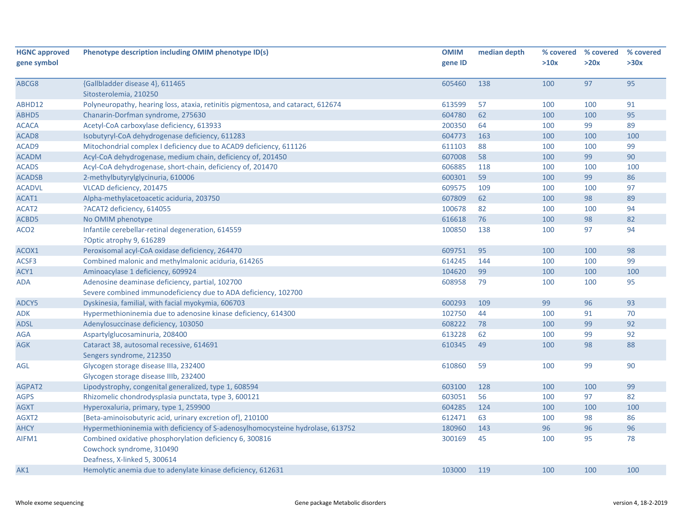| <b>HGNC approved</b> | Phenotype description including OMIM phenotype ID(s)                             | <b>OMIM</b> | median depth |      | % covered % covered | % covered |
|----------------------|----------------------------------------------------------------------------------|-------------|--------------|------|---------------------|-----------|
| gene symbol          |                                                                                  | gene ID     |              | >10x | >20x                | >30x      |
|                      |                                                                                  |             |              |      |                     |           |
| ABCG8                | {Gallbladder disease 4}, 611465                                                  | 605460      | 138          | 100  | 97                  | 95        |
|                      | Sitosterolemia, 210250                                                           |             |              |      |                     |           |
| ABHD12               | Polyneuropathy, hearing loss, ataxia, retinitis pigmentosa, and cataract, 612674 | 613599      | 57           | 100  | 100                 | 91        |
| ABHD5                | Chanarin-Dorfman syndrome, 275630                                                | 604780      | 62           | 100  | 100                 | 95        |
| <b>ACACA</b>         | Acetyl-CoA carboxylase deficiency, 613933                                        | 200350      | 64           | 100  | 99                  | 89        |
| ACAD <sub>8</sub>    | Isobutyryl-CoA dehydrogenase deficiency, 611283                                  | 604773      | 163          | 100  | 100                 | 100       |
| ACAD9                | Mitochondrial complex I deficiency due to ACAD9 deficiency, 611126               | 611103      | 88           | 100  | 100                 | 99        |
| <b>ACADM</b>         | Acyl-CoA dehydrogenase, medium chain, deficiency of, 201450                      | 607008      | 58           | 100  | 99                  | 90        |
| <b>ACADS</b>         | Acyl-CoA dehydrogenase, short-chain, deficiency of, 201470                       | 606885      | 118          | 100  | 100                 | 100       |
| <b>ACADSB</b>        | 2-methylbutyrylglycinuria, 610006                                                | 600301      | 59           | 100  | 99                  | 86        |
| <b>ACADVL</b>        | VLCAD deficiency, 201475                                                         | 609575      | 109          | 100  | 100                 | 97        |
| ACAT1                | Alpha-methylacetoacetic aciduria, 203750                                         | 607809      | 62           | 100  | 98                  | 89        |
| ACAT2                | ?ACAT2 deficiency, 614055                                                        | 100678      | 82           | 100  | 100                 | 94        |
| ACBD5                | No OMIM phenotype                                                                | 616618      | 76           | 100  | 98                  | 82        |
| ACO <sub>2</sub>     | Infantile cerebellar-retinal degeneration, 614559                                | 100850      | 138          | 100  | 97                  | 94        |
|                      | ?Optic atrophy 9, 616289                                                         |             |              |      |                     |           |
| ACOX1                | Peroxisomal acyl-CoA oxidase deficiency, 264470                                  | 609751      | 95           | 100  | 100                 | 98        |
| ACSF3                | Combined malonic and methylmalonic aciduria, 614265                              | 614245      | 144          | 100  | 100                 | 99        |
| ACY1                 | Aminoacylase 1 deficiency, 609924                                                | 104620      | 99           | 100  | 100                 | 100       |
| ADA                  | Adenosine deaminase deficiency, partial, 102700                                  | 608958      | 79           | 100  | 100                 | 95        |
|                      | Severe combined immunodeficiency due to ADA deficiency, 102700                   |             |              |      |                     |           |
| ADCY5                | Dyskinesia, familial, with facial myokymia, 606703                               | 600293      | 109          | 99   | 96                  | 93        |
| ADK                  | Hypermethioninemia due to adenosine kinase deficiency, 614300                    | 102750      | 44           | 100  | 91                  | 70        |
| <b>ADSL</b>          | Adenylosuccinase deficiency, 103050                                              | 608222      | 78           | 100  | 99                  | 92        |
| AGA                  | Aspartylglucosaminuria, 208400                                                   | 613228      | 62           | 100  | 99                  | 92        |
| <b>AGK</b>           | Cataract 38, autosomal recessive, 614691                                         | 610345      | 49           | 100  | 98                  | 88        |
|                      | Sengers syndrome, 212350                                                         |             |              |      |                     |           |
| AGL                  | Glycogen storage disease IIIa, 232400                                            | 610860      | 59           | 100  | 99                  | 90        |
|                      | Glycogen storage disease IIIb, 232400                                            |             |              |      |                     |           |
| AGPAT2               | Lipodystrophy, congenital generalized, type 1, 608594                            | 603100      | 128          | 100  | 100                 | 99        |
| <b>AGPS</b>          | Rhizomelic chondrodysplasia punctata, type 3, 600121                             | 603051      | 56           | 100  | 97                  | 82        |
| <b>AGXT</b>          | Hyperoxaluria, primary, type 1, 259900                                           | 604285      | 124          | 100  | 100                 | 100       |
| AGXT2                | [Beta-aminoisobutyric acid, urinary excretion of], 210100                        | 612471      | 63           | 100  | 98                  | 86        |
| <b>AHCY</b>          | Hypermethioninemia with deficiency of S-adenosylhomocysteine hydrolase, 613752   | 180960      | 143          | 96   | 96                  | 96        |
| AIFM1                | Combined oxidative phosphorylation deficiency 6, 300816                          | 300169      | 45           | 100  | 95                  | 78        |
|                      | Cowchock syndrome, 310490                                                        |             |              |      |                     |           |
|                      | Deafness, X-linked 5, 300614                                                     |             |              |      |                     |           |
|                      | Hemolytic anemia due to adenylate kinase deficiency, 612631                      | 103000      | 119          | 100  | 100                 | 100       |
| AK1                  |                                                                                  |             |              |      |                     |           |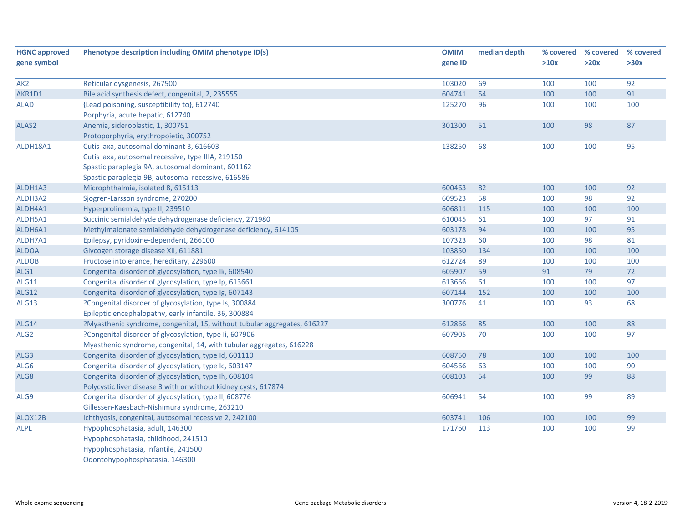| <b>HGNC approved</b> | Phenotype description including OMIM phenotype ID(s)                     | <b>OMIM</b> | median depth | % covered | % covered | % covered |
|----------------------|--------------------------------------------------------------------------|-------------|--------------|-----------|-----------|-----------|
| gene symbol          |                                                                          | gene ID     |              | >10x      | >20x      | >30x      |
| AK <sub>2</sub>      | Reticular dysgenesis, 267500                                             | 103020      | 69           | 100       | 100       | 92        |
| AKR1D1               | Bile acid synthesis defect, congenital, 2, 235555                        | 604741      | 54           | 100       | 100       | 91        |
| <b>ALAD</b>          | {Lead poisoning, susceptibility to}, 612740                              | 125270      | 96           | 100       | 100       | 100       |
|                      | Porphyria, acute hepatic, 612740                                         |             |              |           |           |           |
| ALAS2                | Anemia, sideroblastic, 1, 300751                                         | 301300      | 51           | 100       | 98        | 87        |
|                      | Protoporphyria, erythropoietic, 300752                                   |             |              |           |           |           |
| ALDH18A1             | Cutis laxa, autosomal dominant 3, 616603                                 | 138250      | 68           | 100       | 100       | 95        |
|                      | Cutis laxa, autosomal recessive, type IIIA, 219150                       |             |              |           |           |           |
|                      | Spastic paraplegia 9A, autosomal dominant, 601162                        |             |              |           |           |           |
|                      | Spastic paraplegia 9B, autosomal recessive, 616586                       |             |              |           |           |           |
| ALDH1A3              | Microphthalmia, isolated 8, 615113                                       | 600463      | 82           | 100       | 100       | 92        |
| ALDH3A2              | Sjogren-Larsson syndrome, 270200                                         | 609523      | 58           | 100       | 98        | 92        |
| ALDH4A1              | Hyperprolinemia, type II, 239510                                         | 606811      | 115          | 100       | 100       | 100       |
| ALDH5A1              | Succinic semialdehyde dehydrogenase deficiency, 271980                   | 610045      | 61           | 100       | 97        | 91        |
| ALDH6A1              | Methylmalonate semialdehyde dehydrogenase deficiency, 614105             | 603178      | 94           | 100       | 100       | 95        |
| ALDH7A1              | Epilepsy, pyridoxine-dependent, 266100                                   | 107323      | 60           | 100       | 98        | 81        |
| <b>ALDOA</b>         | Glycogen storage disease XII, 611881                                     | 103850      | 134          | 100       | 100       | 100       |
| <b>ALDOB</b>         | Fructose intolerance, hereditary, 229600                                 | 612724      | 89           | 100       | 100       | 100       |
| ALG1                 | Congenital disorder of glycosylation, type Ik, 608540                    | 605907      | 59           | 91        | 79        | $72$      |
| <b>ALG11</b>         | Congenital disorder of glycosylation, type Ip, 613661                    | 613666      | 61           | 100       | 100       | 97        |
| <b>ALG12</b>         | Congenital disorder of glycosylation, type Ig, 607143                    | 607144      | 152          | 100       | 100       | 100       |
| ALG13                | ?Congenital disorder of glycosylation, type Is, 300884                   | 300776      | 41           | 100       | 93        | 68        |
|                      | Epileptic encephalopathy, early infantile, 36, 300884                    |             |              |           |           |           |
| <b>ALG14</b>         | ?Myasthenic syndrome, congenital, 15, without tubular aggregates, 616227 | 612866      | 85           | 100       | 100       | 88        |
| ALG <sub>2</sub>     | ?Congenital disorder of glycosylation, type Ii, 607906                   | 607905      | 70           | 100       | 100       | 97        |
|                      | Myasthenic syndrome, congenital, 14, with tubular aggregates, 616228     |             |              |           |           |           |
| ALG3                 | Congenital disorder of glycosylation, type Id, 601110                    | 608750      | 78           | 100       | 100       | 100       |
| ALG6                 | Congenital disorder of glycosylation, type Ic, 603147                    | 604566      | 63           | 100       | 100       | 90        |
| ALG8                 | Congenital disorder of glycosylation, type Ih, 608104                    | 608103      | 54           | 100       | 99        | 88        |
|                      | Polycystic liver disease 3 with or without kidney cysts, 617874          |             |              |           |           |           |
| ALG9                 | Congenital disorder of glycosylation, type II, 608776                    | 606941      | 54           | 100       | 99        | 89        |
|                      | Gillessen-Kaesbach-Nishimura syndrome, 263210                            |             |              |           |           |           |
| ALOX12B              | Ichthyosis, congenital, autosomal recessive 2, 242100                    | 603741      | 106          | 100       | 100       | 99        |
| <b>ALPL</b>          | Hypophosphatasia, adult, 146300                                          | 171760      | 113          | 100       | 100       | 99        |
|                      | Hypophosphatasia, childhood, 241510                                      |             |              |           |           |           |
|                      | Hypophosphatasia, infantile, 241500                                      |             |              |           |           |           |
|                      | Odontohypophosphatasia, 146300                                           |             |              |           |           |           |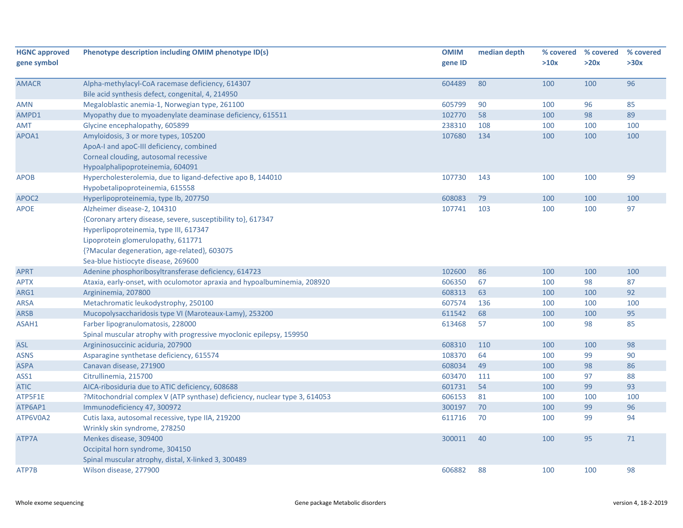| <b>HGNC approved</b><br>gene symbol | Phenotype description including OMIM phenotype ID(s)                       | <b>OMIM</b><br>gene ID | median depth | >10x | % covered % covered<br>>20x | % covered<br>>30x |
|-------------------------------------|----------------------------------------------------------------------------|------------------------|--------------|------|-----------------------------|-------------------|
|                                     |                                                                            |                        |              |      |                             |                   |
| <b>AMACR</b>                        | Alpha-methylacyl-CoA racemase deficiency, 614307                           | 604489                 | 80           | 100  | 100                         | 96                |
|                                     | Bile acid synthesis defect, congenital, 4, 214950                          |                        |              |      |                             |                   |
| AMN                                 | Megaloblastic anemia-1, Norwegian type, 261100                             | 605799                 | 90           | 100  | 96                          | 85                |
| AMPD1                               | Myopathy due to myoadenylate deaminase deficiency, 615511                  | 102770                 | 58           | 100  | 98                          | 89                |
| AMT                                 | Glycine encephalopathy, 605899                                             | 238310                 | 108          | 100  | 100                         | 100               |
| APOA1                               | Amyloidosis, 3 or more types, 105200                                       | 107680                 | 134          | 100  | 100                         | 100               |
|                                     | ApoA-I and apoC-III deficiency, combined                                   |                        |              |      |                             |                   |
|                                     | Corneal clouding, autosomal recessive                                      |                        |              |      |                             |                   |
|                                     | Hypoalphalipoproteinemia, 604091                                           |                        |              |      |                             |                   |
| <b>APOB</b>                         | Hypercholesterolemia, due to ligand-defective apo B, 144010                | 107730                 | 143          | 100  | 100                         | 99                |
|                                     | Hypobetalipoproteinemia, 615558                                            |                        |              |      |                             |                   |
| APOC2                               | Hyperlipoproteinemia, type Ib, 207750                                      | 608083                 | 79           | 100  | 100                         | 100               |
| <b>APOE</b>                         | Alzheimer disease-2, 104310                                                | 107741                 | 103          | 100  | 100                         | 97                |
|                                     | {Coronary artery disease, severe, susceptibility to}, 617347               |                        |              |      |                             |                   |
|                                     | Hyperlipoproteinemia, type III, 617347                                     |                        |              |      |                             |                   |
|                                     | Lipoprotein glomerulopathy, 611771                                         |                        |              |      |                             |                   |
|                                     | {?Macular degeneration, age-related}, 603075                               |                        |              |      |                             |                   |
|                                     | Sea-blue histiocyte disease, 269600                                        |                        |              |      |                             |                   |
| <b>APRT</b>                         | Adenine phosphoribosyltransferase deficiency, 614723                       | 102600                 | 86           | 100  | 100                         | 100               |
| APTX                                | Ataxia, early-onset, with oculomotor apraxia and hypoalbuminemia, 208920   | 606350                 | 67           | 100  | 98                          | 87                |
| ARG1                                | Argininemia, 207800                                                        | 608313                 | 63           | 100  | 100                         | 92                |
| <b>ARSA</b>                         | Metachromatic leukodystrophy, 250100                                       | 607574                 | 136          | 100  | 100                         | 100               |
| <b>ARSB</b>                         | Mucopolysaccharidosis type VI (Maroteaux-Lamy), 253200                     | 611542                 | 68           | 100  | 100                         | 95                |
| ASAH1                               | Farber lipogranulomatosis, 228000                                          | 613468                 | 57           | 100  | 98                          | 85                |
|                                     | Spinal muscular atrophy with progressive myoclonic epilepsy, 159950        |                        |              |      |                             |                   |
| <b>ASL</b>                          | Argininosuccinic aciduria, 207900                                          | 608310                 | 110          | 100  | 100                         | 98                |
| ASNS                                | Asparagine synthetase deficiency, 615574                                   | 108370                 | 64           | 100  | 99                          | 90                |
| <b>ASPA</b>                         | Canavan disease, 271900                                                    | 608034                 | 49           | 100  | 98                          | 86                |
| ASS1                                | Citrullinemia, 215700                                                      | 603470                 | 111          | 100  | 97                          | 88                |
| <b>ATIC</b>                         | AICA-ribosiduria due to ATIC deficiency, 608688                            | 601731                 | 54           | 100  | 99                          | 93                |
| ATP5F1E                             | ?Mitochondrial complex V (ATP synthase) deficiency, nuclear type 3, 614053 | 606153                 | 81           | 100  | 100                         | 100               |
| ATP6AP1                             | Immunodeficiency 47, 300972                                                | 300197                 | 70           | 100  | 99                          | 96                |
| ATP6V0A2                            | Cutis laxa, autosomal recessive, type IIA, 219200                          | 611716                 | 70           | 100  | 99                          | 94                |
|                                     | Wrinkly skin syndrome, 278250                                              |                        |              |      |                             |                   |
| ATP7A                               | Menkes disease, 309400                                                     | 300011                 | 40           | 100  | 95                          | 71                |
|                                     | Occipital horn syndrome, 304150                                            |                        |              |      |                             |                   |
|                                     | Spinal muscular atrophy, distal, X-linked 3, 300489                        |                        |              |      |                             |                   |
| ATP7B                               | Wilson disease, 277900                                                     | 606882                 | 88           | 100  | 100                         | 98                |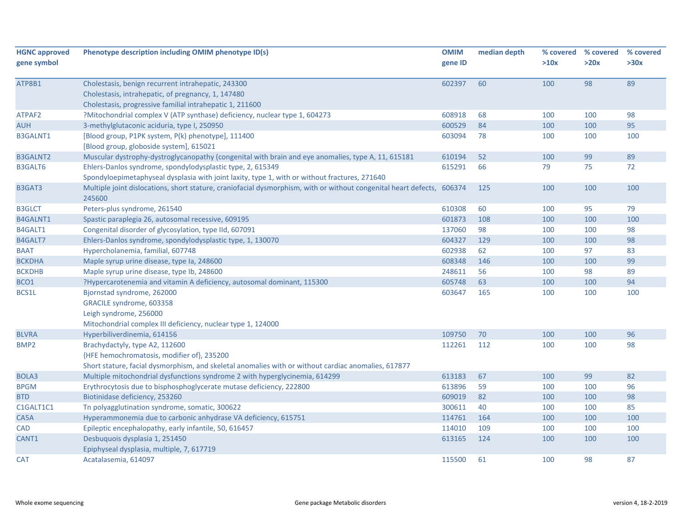| <b>HGNC approved</b> | Phenotype description including OMIM phenotype ID(s)                                                                   | <b>OMIM</b> | median depth | % covered | % covered | % covered |
|----------------------|------------------------------------------------------------------------------------------------------------------------|-------------|--------------|-----------|-----------|-----------|
| gene symbol          |                                                                                                                        | gene ID     |              | >10x      | >20x      | >30x      |
|                      |                                                                                                                        |             |              |           |           |           |
| ATP8B1               | Cholestasis, benign recurrent intrahepatic, 243300                                                                     | 602397      | 60           | 100       | 98        | 89        |
|                      | Cholestasis, intrahepatic, of pregnancy, 1, 147480                                                                     |             |              |           |           |           |
|                      | Cholestasis, progressive familial intrahepatic 1, 211600                                                               |             |              |           |           |           |
| ATPAF2               | ?Mitochondrial complex V (ATP synthase) deficiency, nuclear type 1, 604273                                             | 608918      | 68           | 100       | 100       | 98        |
| <b>AUH</b>           | 3-methylglutaconic aciduria, type I, 250950                                                                            | 600529      | 84           | 100       | 100       | 95        |
| <b>B3GALNT1</b>      | [Blood group, P1PK system, P(k) phenotype], 111400                                                                     | 603094      | 78           | 100       | 100       | 100       |
|                      | [Blood group, globoside system], 615021                                                                                |             |              |           |           |           |
| <b>B3GALNT2</b>      | Muscular dystrophy-dystroglycanopathy (congenital with brain and eye anomalies, type A, 11, 615181                     | 610194      | 52           | 100       | 99        | 89        |
| <b>B3GALT6</b>       | Ehlers-Danlos syndrome, spondylodysplastic type, 2, 615349                                                             | 615291      | 66           | 79        | 75        | 72        |
|                      | Spondyloepimetaphyseal dysplasia with joint laxity, type 1, with or without fractures, 271640                          |             |              |           |           |           |
| B3GAT3               | Multiple joint dislocations, short stature, craniofacial dysmorphism, with or without congenital heart defects, 606374 |             | 125          | 100       | 100       | 100       |
|                      | 245600                                                                                                                 |             |              |           |           |           |
| <b>B3GLCT</b>        | Peters-plus syndrome, 261540                                                                                           | 610308      | 60           | 100       | 95        | 79        |
| B4GALNT1             | Spastic paraplegia 26, autosomal recessive, 609195                                                                     | 601873      | 108          | 100       | 100       | 100       |
| B4GALT1              | Congenital disorder of glycosylation, type IId, 607091                                                                 | 137060      | 98           | 100       | 100       | 98        |
| B4GALT7              | Ehlers-Danlos syndrome, spondylodysplastic type, 1, 130070                                                             | 604327      | 129          | 100       | 100       | 98        |
| <b>BAAT</b>          | Hypercholanemia, familial, 607748                                                                                      | 602938      | 62           | 100       | 97        | 83        |
| <b>BCKDHA</b>        | Maple syrup urine disease, type Ia, 248600                                                                             | 608348      | 146          | 100       | 100       | 99        |
| <b>BCKDHB</b>        | Maple syrup urine disease, type lb, 248600                                                                             | 248611      | 56           | 100       | 98        | 89        |
| BCO1                 | ?Hypercarotenemia and vitamin A deficiency, autosomal dominant, 115300                                                 | 605748      | 63           | 100       | 100       | 94        |
| BCS1L                | Bjornstad syndrome, 262000                                                                                             | 603647      | 165          | 100       | 100       | 100       |
|                      | GRACILE syndrome, 603358                                                                                               |             |              |           |           |           |
|                      | Leigh syndrome, 256000                                                                                                 |             |              |           |           |           |
|                      | Mitochondrial complex III deficiency, nuclear type 1, 124000                                                           |             |              |           |           |           |
| <b>BLVRA</b>         | Hyperbiliverdinemia, 614156                                                                                            | 109750      | 70           | 100       | 100       | 96        |
| BMP <sub>2</sub>     | Brachydactyly, type A2, 112600                                                                                         | 112261      | 112          | 100       | 100       | 98        |
|                      | {HFE hemochromatosis, modifier of}, 235200                                                                             |             |              |           |           |           |
|                      | Short stature, facial dysmorphism, and skeletal anomalies with or without cardiac anomalies, 617877                    |             |              |           |           |           |
| BOLA3                | Multiple mitochondrial dysfunctions syndrome 2 with hyperglycinemia, 614299                                            | 613183      | 67           | 100       | 99        | 82        |
| <b>BPGM</b>          | Erythrocytosis due to bisphosphoglycerate mutase deficiency, 222800                                                    | 613896      | 59           | 100       | 100       | 96        |
| <b>BTD</b>           | Biotinidase deficiency, 253260                                                                                         | 609019      | 82           | 100       | 100       | 98        |
| C1GALT1C1            | Tn polyagglutination syndrome, somatic, 300622                                                                         | 300611      | 40           | 100       | 100       | 85        |
| CA5A                 | Hyperammonemia due to carbonic anhydrase VA deficiency, 615751                                                         | 114761      | 164          | 100       | 100       | 100       |
| CAD                  | Epileptic encephalopathy, early infantile, 50, 616457                                                                  | 114010      | 109          | 100       | 100       | 100       |
| CANT1                | Desbuquois dysplasia 1, 251450                                                                                         | 613165      | 124          | 100       | 100       | 100       |
|                      | Epiphyseal dysplasia, multiple, 7, 617719                                                                              |             |              |           |           |           |
| <b>CAT</b>           | Acatalasemia, 614097                                                                                                   | 115500      | 61           | 100       | 98        | 87        |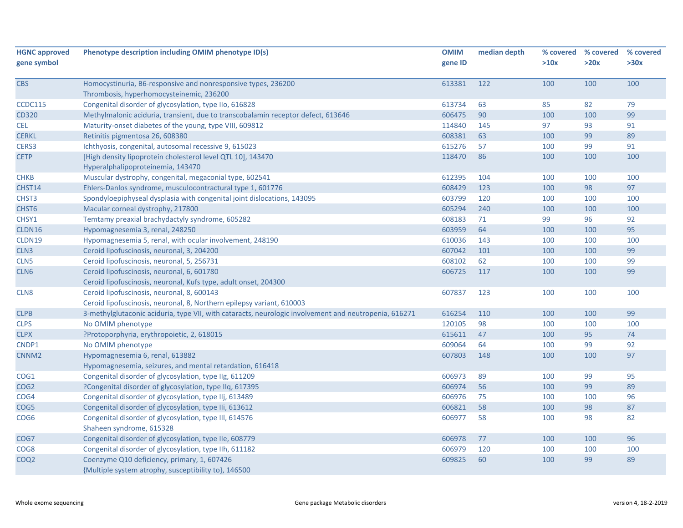| <b>HGNC approved</b> | Phenotype description including OMIM phenotype ID(s)                                                  | <b>OMIM</b> | median depth |      | % covered % covered | % covered |
|----------------------|-------------------------------------------------------------------------------------------------------|-------------|--------------|------|---------------------|-----------|
| gene symbol          |                                                                                                       | gene ID     |              | >10x | >20x                | >30x      |
| <b>CBS</b>           | Homocystinuria, B6-responsive and nonresponsive types, 236200                                         | 613381      | 122          | 100  | 100                 | 100       |
|                      | Thrombosis, hyperhomocysteinemic, 236200                                                              |             |              |      |                     |           |
| <b>CCDC115</b>       | Congenital disorder of glycosylation, type IIo, 616828                                                | 613734      | 63           | 85   | 82                  | 79        |
| <b>CD320</b>         | Methylmalonic aciduria, transient, due to transcobalamin receptor defect, 613646                      | 606475      | 90           | 100  | 100                 | 99        |
| <b>CEL</b>           | Maturity-onset diabetes of the young, type VIII, 609812                                               | 114840      | 145          | 97   | 93                  | 91        |
| <b>CERKL</b>         | Retinitis pigmentosa 26, 608380                                                                       | 608381      | 63           | 100  | 99                  | 89        |
| CERS3                | Ichthyosis, congenital, autosomal recessive 9, 615023                                                 | 615276      | 57           | 100  | 99                  | 91        |
| <b>CETP</b>          | [High density lipoprotein cholesterol level QTL 10], 143470<br>Hyperalphalipoproteinemia, 143470      | 118470      | 86           | 100  | 100                 | 100       |
| <b>CHKB</b>          | Muscular dystrophy, congenital, megaconial type, 602541                                               | 612395      | 104          | 100  | 100                 | 100       |
| CHST14               | Ehlers-Danlos syndrome, musculocontractural type 1, 601776                                            | 608429      | 123          | 100  | 98                  | 97        |
| CHST <sub>3</sub>    | Spondyloepiphyseal dysplasia with congenital joint dislocations, 143095                               | 603799      | 120          | 100  | 100                 | 100       |
| CHST6                | Macular corneal dystrophy, 217800                                                                     | 605294      | 240          | 100  | 100                 | 100       |
| CHSY1                | Temtamy preaxial brachydactyly syndrome, 605282                                                       | 608183      | 71           | 99   | 96                  | 92        |
| CLDN16               | Hypomagnesemia 3, renal, 248250                                                                       | 603959      | 64           | 100  | 100                 | 95        |
| CLDN19               | Hypomagnesemia 5, renal, with ocular involvement, 248190                                              | 610036      | 143          | 100  | 100                 | 100       |
| CLN3                 | Ceroid lipofuscinosis, neuronal, 3, 204200                                                            | 607042      | 101          | 100  | 100                 | 99        |
| CLN <sub>5</sub>     | Ceroid lipofuscinosis, neuronal, 5, 256731                                                            | 608102      | 62           | 100  | 100                 | 99        |
| CLN <sub>6</sub>     | Ceroid lipofuscinosis, neuronal, 6, 601780                                                            | 606725      | 117          | 100  | 100                 | 99        |
|                      | Ceroid lipofuscinosis, neuronal, Kufs type, adult onset, 204300                                       |             |              |      |                     |           |
| CLN8                 | Ceroid lipofuscinosis, neuronal, 8, 600143                                                            | 607837      | 123          | 100  | 100                 | 100       |
|                      | Ceroid lipofuscinosis, neuronal, 8, Northern epilepsy variant, 610003                                 |             |              |      |                     |           |
| <b>CLPB</b>          | 3-methylglutaconic aciduria, type VII, with cataracts, neurologic involvement and neutropenia, 616271 | 616254      | 110          | 100  | 100                 | 99        |
| <b>CLPS</b>          | No OMIM phenotype                                                                                     | 120105      | 98           | 100  | 100                 | 100       |
| <b>CLPX</b>          | ?Protoporphyria, erythropoietic, 2, 618015                                                            | 615611      | 47           | 100  | 95                  | 74        |
| CNDP1                | No OMIM phenotype                                                                                     | 609064      | 64           | 100  | 99                  | 92        |
| CNNM <sub>2</sub>    | Hypomagnesemia 6, renal, 613882                                                                       | 607803      | 148          | 100  | 100                 | 97        |
|                      | Hypomagnesemia, seizures, and mental retardation, 616418                                              |             |              |      |                     |           |
| COG1                 | Congenital disorder of glycosylation, type IIg, 611209                                                | 606973      | 89           | 100  | 99                  | 95        |
| COG <sub>2</sub>     | ?Congenital disorder of glycosylation, type IIq, 617395                                               | 606974      | 56           | 100  | 99                  | 89        |
| COG4                 | Congenital disorder of glycosylation, type IIj, 613489                                                | 606976      | 75           | 100  | 100                 | 96        |
| COG5                 | Congenital disorder of glycosylation, type IIi, 613612                                                | 606821      | 58           | 100  | 98                  | 87        |
| COG <sub>6</sub>     | Congenital disorder of glycosylation, type III, 614576<br>Shaheen syndrome, 615328                    | 606977      | 58           | 100  | 98                  | 82        |
| COG7                 | Congenital disorder of glycosylation, type IIe, 608779                                                | 606978      | 77           | 100  | 100                 | 96        |
| COG8                 | Congenital disorder of glycosylation, type IIh, 611182                                                | 606979      | 120          | 100  | 100                 | 100       |
| COQ <sub>2</sub>     | Coenzyme Q10 deficiency, primary, 1, 607426<br>{Multiple system atrophy, susceptibility to}, 146500   | 609825      | 60           | 100  | 99                  | 89        |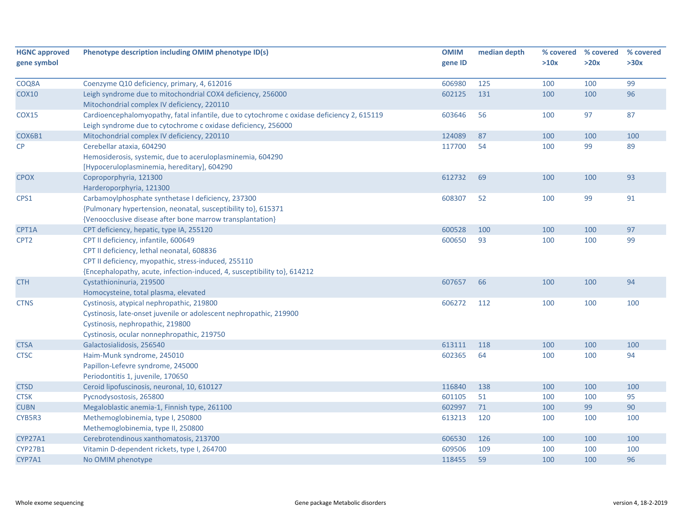| <b>HGNC approved</b><br>gene symbol | Phenotype description including OMIM phenotype ID(s)                                       | <b>OMIM</b><br>gene ID | median depth | % covered<br>>10x | % covered<br>>20x | % covered<br>>30x |
|-------------------------------------|--------------------------------------------------------------------------------------------|------------------------|--------------|-------------------|-------------------|-------------------|
|                                     |                                                                                            |                        |              |                   |                   |                   |
| COQ8A                               | Coenzyme Q10 deficiency, primary, 4, 612016                                                | 606980                 | 125          | 100               | 100               | 99                |
| <b>COX10</b>                        | Leigh syndrome due to mitochondrial COX4 deficiency, 256000                                | 602125                 | 131          | 100               | 100               | 96                |
|                                     | Mitochondrial complex IV deficiency, 220110                                                |                        |              |                   |                   |                   |
| COX15                               | Cardioencephalomyopathy, fatal infantile, due to cytochrome c oxidase deficiency 2, 615119 | 603646                 | 56           | 100               | 97                | 87                |
|                                     | Leigh syndrome due to cytochrome c oxidase deficiency, 256000                              |                        |              |                   |                   |                   |
| COX6B1                              | Mitochondrial complex IV deficiency, 220110                                                | 124089                 | 87           | 100               | 100               | 100               |
| CP                                  | Cerebellar ataxia, 604290                                                                  | 117700                 | 54           | 100               | 99                | 89                |
|                                     | Hemosiderosis, systemic, due to aceruloplasminemia, 604290                                 |                        |              |                   |                   |                   |
|                                     | [Hypoceruloplasminemia, hereditary], 604290                                                |                        |              |                   |                   |                   |
| <b>CPOX</b>                         | Coproporphyria, 121300                                                                     | 612732                 | 69           | 100               | 100               | 93                |
|                                     | Harderoporphyria, 121300                                                                   |                        |              |                   |                   |                   |
| CPS1                                | Carbamoylphosphate synthetase I deficiency, 237300                                         | 608307                 | 52           | 100               | 99                | 91                |
|                                     | {Pulmonary hypertension, neonatal, susceptibility to}, 615371                              |                        |              |                   |                   |                   |
|                                     | {Venoocclusive disease after bone marrow transplantation}                                  |                        |              |                   |                   |                   |
| CPT1A                               | CPT deficiency, hepatic, type IA, 255120                                                   | 600528                 | 100          | 100               | 100               | 97                |
| CPT <sub>2</sub>                    | CPT II deficiency, infantile, 600649                                                       | 600650                 | 93           | 100               | 100               | 99                |
|                                     | CPT II deficiency, lethal neonatal, 608836                                                 |                        |              |                   |                   |                   |
|                                     | CPT II deficiency, myopathic, stress-induced, 255110                                       |                        |              |                   |                   |                   |
|                                     | {Encephalopathy, acute, infection-induced, 4, susceptibility to}, 614212                   |                        |              |                   |                   |                   |
| <b>CTH</b>                          | Cystathioninuria, 219500                                                                   | 607657                 | 66           | 100               | 100               | 94                |
|                                     | Homocysteine, total plasma, elevated                                                       |                        |              |                   |                   |                   |
| <b>CTNS</b>                         | Cystinosis, atypical nephropathic, 219800                                                  | 606272                 | 112          | 100               | 100               | 100               |
|                                     | Cystinosis, late-onset juvenile or adolescent nephropathic, 219900                         |                        |              |                   |                   |                   |
|                                     | Cystinosis, nephropathic, 219800                                                           |                        |              |                   |                   |                   |
|                                     | Cystinosis, ocular nonnephropathic, 219750                                                 |                        |              |                   |                   |                   |
| <b>CTSA</b>                         | Galactosialidosis, 256540                                                                  | 613111                 | 118          | 100               | 100               | 100               |
| <b>CTSC</b>                         | Haim-Munk syndrome, 245010                                                                 | 602365                 | 64           | 100               | 100               | 94                |
|                                     | Papillon-Lefevre syndrome, 245000                                                          |                        |              |                   |                   |                   |
|                                     | Periodontitis 1, juvenile, 170650                                                          |                        |              |                   |                   |                   |
| <b>CTSD</b>                         | Ceroid lipofuscinosis, neuronal, 10, 610127                                                | 116840                 | 138          | 100               | 100               | 100               |
| <b>CTSK</b>                         | Pycnodysostosis, 265800                                                                    | 601105                 | 51           | 100               | 100               | 95                |
| <b>CUBN</b>                         | Megaloblastic anemia-1, Finnish type, 261100                                               | 602997                 | 71           | 100               | 99                | 90                |
| CYB5R3                              | Methemoglobinemia, type I, 250800                                                          | 613213                 | 120          | 100               | 100               | 100               |
|                                     | Methemoglobinemia, type II, 250800                                                         |                        |              |                   |                   |                   |
| <b>CYP27A1</b>                      | Cerebrotendinous xanthomatosis, 213700                                                     | 606530                 | 126          | 100               | 100               | 100               |
| <b>CYP27B1</b>                      | Vitamin D-dependent rickets, type I, 264700                                                | 609506                 | 109          | 100               | 100               | 100               |
| CYP7A1                              | No OMIM phenotype                                                                          | 118455                 | 59           | 100               | 100               | 96                |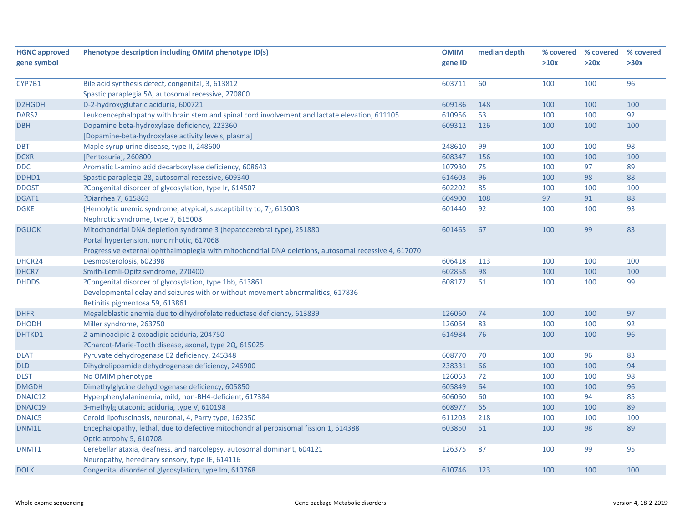| <b>HGNC approved</b><br>gene symbol | Phenotype description including OMIM phenotype ID(s)                                                            | <b>OMIM</b><br>gene ID | median depth | % covered<br>>10x | % covered<br>>20x | % covered<br>>30x |
|-------------------------------------|-----------------------------------------------------------------------------------------------------------------|------------------------|--------------|-------------------|-------------------|-------------------|
|                                     |                                                                                                                 |                        |              |                   |                   |                   |
| CYP7B1                              | Bile acid synthesis defect, congenital, 3, 613812                                                               | 603711                 | 60           | 100               | 100               | 96                |
|                                     | Spastic paraplegia 5A, autosomal recessive, 270800                                                              |                        |              |                   |                   |                   |
| D2HGDH                              | D-2-hydroxyglutaric aciduria, 600721                                                                            | 609186                 | 148          | 100               | 100               | 100               |
| DARS <sub>2</sub>                   | Leukoencephalopathy with brain stem and spinal cord involvement and lactate elevation, 611105                   | 610956                 | 53           | 100               | 100               | 92                |
| <b>DBH</b>                          | Dopamine beta-hydroxylase deficiency, 223360                                                                    | 609312                 | 126          | 100               | 100               | 100               |
|                                     | [Dopamine-beta-hydroxylase activity levels, plasma]                                                             |                        |              |                   |                   |                   |
| <b>DBT</b>                          | Maple syrup urine disease, type II, 248600                                                                      | 248610                 | 99           | 100               | 100               | 98                |
| <b>DCXR</b>                         | [Pentosuria], 260800                                                                                            | 608347                 | 156          | 100               | 100               | 100               |
| <b>DDC</b>                          | Aromatic L-amino acid decarboxylase deficiency, 608643                                                          | 107930                 | 75           | 100               | 97                | 89                |
| DDHD1                               | Spastic paraplegia 28, autosomal recessive, 609340                                                              | 614603                 | 96           | 100               | 98                | 88                |
| <b>DDOST</b>                        | ?Congenital disorder of glycosylation, type Ir, 614507                                                          | 602202                 | 85           | 100               | 100               | 100               |
| DGAT1                               | ?Diarrhea 7, 615863                                                                                             | 604900                 | 108          | 97                | 91                | 88                |
| <b>DGKE</b>                         | {Hemolytic uremic syndrome, atypical, susceptibility to, 7}, 615008                                             | 601440                 | 92           | 100               | 100               | 93                |
|                                     | Nephrotic syndrome, type 7, 615008                                                                              |                        |              |                   |                   |                   |
| <b>DGUOK</b>                        | Mitochondrial DNA depletion syndrome 3 (hepatocerebral type), 251880                                            | 601465                 | 67           | 100               | 99                | 83                |
|                                     | Portal hypertension, noncirrhotic, 617068                                                                       |                        |              |                   |                   |                   |
|                                     | Progressive external ophthalmoplegia with mitochondrial DNA deletions, autosomal recessive 4, 617070            |                        |              |                   |                   |                   |
| DHCR24                              | Desmosterolosis, 602398                                                                                         | 606418                 | 113          | 100               | 100               | 100               |
| DHCR7                               | Smith-Lemli-Opitz syndrome, 270400                                                                              | 602858                 | 98           | 100               | 100               | 100               |
| <b>DHDDS</b>                        | ?Congenital disorder of glycosylation, type 1bb, 613861                                                         | 608172                 | 61           | 100               | 100               | 99                |
|                                     | Developmental delay and seizures with or without movement abnormalities, 617836                                 |                        |              |                   |                   |                   |
|                                     | Retinitis pigmentosa 59, 613861                                                                                 |                        |              |                   |                   |                   |
| <b>DHFR</b>                         | Megaloblastic anemia due to dihydrofolate reductase deficiency, 613839                                          | 126060                 | 74           | 100               | 100               | 97                |
| <b>DHODH</b>                        | Miller syndrome, 263750                                                                                         | 126064                 | 83           | 100               | 100               | 92                |
| DHTKD1                              | 2-aminoadipic 2-oxoadipic aciduria, 204750                                                                      | 614984                 | 76           | 100               | 100               | 96                |
|                                     | ?Charcot-Marie-Tooth disease, axonal, type 2Q, 615025                                                           |                        |              |                   |                   |                   |
| <b>DLAT</b>                         | Pyruvate dehydrogenase E2 deficiency, 245348                                                                    | 608770                 | 70           | 100               | 96                | 83                |
| <b>DLD</b>                          | Dihydrolipoamide dehydrogenase deficiency, 246900                                                               | 238331                 | 66           | 100               | 100               | 94                |
| <b>DLST</b>                         | No OMIM phenotype                                                                                               | 126063                 | 72           | 100               | 100               | 98                |
| <b>DMGDH</b>                        | Dimethylglycine dehydrogenase deficiency, 605850                                                                | 605849                 | 64           | 100               | 100               | 96                |
| DNAJC12                             | Hyperphenylalaninemia, mild, non-BH4-deficient, 617384                                                          | 606060                 | 60           | 100               | 94                | 85                |
| DNAJC19                             | 3-methylglutaconic aciduria, type V, 610198                                                                     | 608977                 | 65           | 100               | 100               | 89                |
| <b>DNAJC5</b>                       | Ceroid lipofuscinosis, neuronal, 4, Parry type, 162350                                                          | 611203                 | 218          | 100               | 100               | 100               |
| DNM1L                               | Encephalopathy, lethal, due to defective mitochondrial peroxisomal fission 1, 614388<br>Optic atrophy 5, 610708 | 603850                 | 61           | 100               | 98                | 89                |
| DNMT1                               | Cerebellar ataxia, deafness, and narcolepsy, autosomal dominant, 604121                                         | 126375                 | 87           | 100               | 99                | 95                |
|                                     | Neuropathy, hereditary sensory, type IE, 614116                                                                 |                        |              |                   |                   |                   |
| <b>DOLK</b>                         | Congenital disorder of glycosylation, type Im, 610768                                                           | 610746                 | 123          | 100               | 100               | 100               |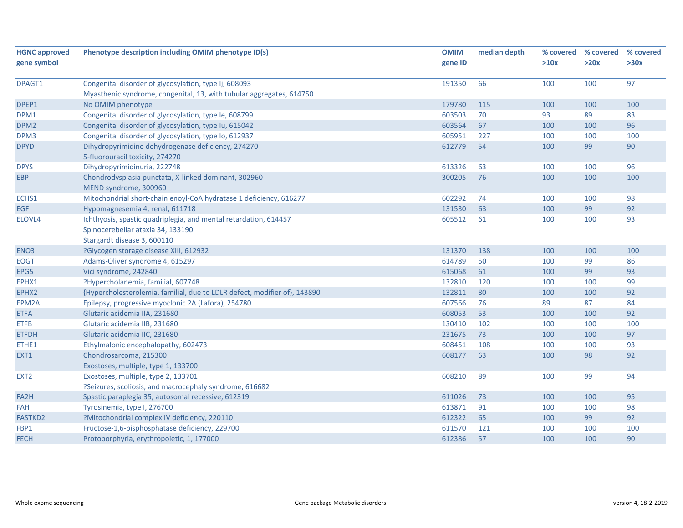| <b>HGNC approved</b> | Phenotype description including OMIM phenotype ID(s)                      | <b>OMIM</b> | median depth | % covered | % covered | % covered |
|----------------------|---------------------------------------------------------------------------|-------------|--------------|-----------|-----------|-----------|
| gene symbol          |                                                                           | gene ID     |              | >10x      | >20x      | >30x      |
| DPAGT1               | Congenital disorder of glycosylation, type Ij, 608093                     | 191350      | 66           | 100       | 100       | 97        |
|                      | Myasthenic syndrome, congenital, 13, with tubular aggregates, 614750      |             |              |           |           |           |
| DPEP1                | No OMIM phenotype                                                         | 179780      | 115          | 100       | 100       | 100       |
| DPM1                 | Congenital disorder of glycosylation, type Ie, 608799                     | 603503      | 70           | 93        | 89        | 83        |
| DPM <sub>2</sub>     | Congenital disorder of glycosylation, type Iu, 615042                     | 603564      | 67           | 100       | 100       | 96        |
| DPM3                 | Congenital disorder of glycosylation, type Io, 612937                     | 605951      | 227          | 100       | 100       | 100       |
| <b>DPYD</b>          | Dihydropyrimidine dehydrogenase deficiency, 274270                        | 612779      | 54           | 100       | 99        | 90        |
|                      | 5-fluorouracil toxicity, 274270                                           |             |              |           |           |           |
| <b>DPYS</b>          | Dihydropyrimidinuria, 222748                                              | 613326      | 63           | 100       | 100       | 96        |
| <b>EBP</b>           | Chondrodysplasia punctata, X-linked dominant, 302960                      | 300205      | 76           | 100       | 100       | 100       |
|                      | MEND syndrome, 300960                                                     |             |              |           |           |           |
| ECHS1                | Mitochondrial short-chain enoyl-CoA hydratase 1 deficiency, 616277        | 602292      | 74           | 100       | 100       | 98        |
| <b>EGF</b>           | Hypomagnesemia 4, renal, 611718                                           | 131530      | 63           | 100       | 99        | 92        |
| ELOVL4               | Ichthyosis, spastic quadriplegia, and mental retardation, 614457          | 605512      | 61           | 100       | 100       | 93        |
|                      | Spinocerebellar ataxia 34, 133190                                         |             |              |           |           |           |
|                      | Stargardt disease 3, 600110                                               |             |              |           |           |           |
| ENO <sub>3</sub>     | ?Glycogen storage disease XIII, 612932                                    | 131370      | 138          | 100       | 100       | 100       |
| <b>EOGT</b>          | Adams-Oliver syndrome 4, 615297                                           | 614789      | 50           | 100       | 99        | 86        |
| EPG5                 | Vici syndrome, 242840                                                     | 615068      | 61           | 100       | 99        | 93        |
| EPHX1                | ?Hypercholanemia, familial, 607748                                        | 132810      | 120          | 100       | 100       | 99        |
| EPHX2                | {Hypercholesterolemia, familial, due to LDLR defect, modifier of}, 143890 | 132811      | 80           | 100       | 100       | 92        |
| EPM2A                | Epilepsy, progressive myoclonic 2A (Lafora), 254780                       | 607566      | 76           | 89        | 87        | 84        |
| <b>ETFA</b>          | Glutaric acidemia IIA, 231680                                             | 608053      | 53           | 100       | 100       | 92        |
| <b>ETFB</b>          | Glutaric acidemia IIB, 231680                                             | 130410      | 102          | 100       | 100       | 100       |
| <b>ETFDH</b>         | Glutaric acidemia IIC, 231680                                             | 231675      | 73           | 100       | 100       | 97        |
| ETHE1                | Ethylmalonic encephalopathy, 602473                                       | 608451      | 108          | 100       | 100       | 93        |
| EXT1                 | Chondrosarcoma, 215300                                                    | 608177      | 63           | 100       | 98        | 92        |
|                      | Exostoses, multiple, type 1, 133700                                       |             |              |           |           |           |
| EXT <sub>2</sub>     | Exostoses, multiple, type 2, 133701                                       | 608210      | 89           | 100       | 99        | 94        |
|                      | ?Seizures, scoliosis, and macrocephaly syndrome, 616682                   |             |              |           |           |           |
| FA2H                 | Spastic paraplegia 35, autosomal recessive, 612319                        | 611026      | 73           | 100       | 100       | 95        |
| <b>FAH</b>           | Tyrosinemia, type I, 276700                                               | 613871      | 91           | 100       | 100       | 98        |
| <b>FASTKD2</b>       | ?Mitochondrial complex IV deficiency, 220110                              | 612322      | 65           | 100       | 99        | 92        |
| FBP1                 | Fructose-1,6-bisphosphatase deficiency, 229700                            | 611570      | 121          | 100       | 100       | 100       |
| <b>FECH</b>          | Protoporphyria, erythropoietic, 1, 177000                                 | 612386      | 57           | 100       | 100       | 90        |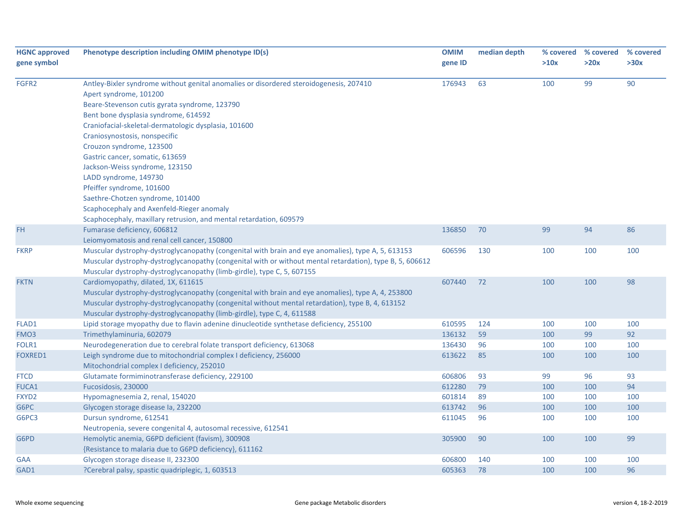| <b>HGNC approved</b> | Phenotype description including OMIM phenotype ID(s)                                                     | <b>OMIM</b> | median depth |      | % covered % covered % covered |      |
|----------------------|----------------------------------------------------------------------------------------------------------|-------------|--------------|------|-------------------------------|------|
| gene symbol          |                                                                                                          | gene ID     |              | >10x | >20x                          | >30x |
| FGFR2                | Antley-Bixler syndrome without genital anomalies or disordered steroidogenesis, 207410                   | 176943      | 63           | 100  | 99                            | 90   |
|                      | Apert syndrome, 101200                                                                                   |             |              |      |                               |      |
|                      | Beare-Stevenson cutis gyrata syndrome, 123790                                                            |             |              |      |                               |      |
|                      | Bent bone dysplasia syndrome, 614592                                                                     |             |              |      |                               |      |
|                      | Craniofacial-skeletal-dermatologic dysplasia, 101600                                                     |             |              |      |                               |      |
|                      | Craniosynostosis, nonspecific                                                                            |             |              |      |                               |      |
|                      | Crouzon syndrome, 123500                                                                                 |             |              |      |                               |      |
|                      | Gastric cancer, somatic, 613659                                                                          |             |              |      |                               |      |
|                      | Jackson-Weiss syndrome, 123150                                                                           |             |              |      |                               |      |
|                      | LADD syndrome, 149730                                                                                    |             |              |      |                               |      |
|                      | Pfeiffer syndrome, 101600                                                                                |             |              |      |                               |      |
|                      | Saethre-Chotzen syndrome, 101400                                                                         |             |              |      |                               |      |
|                      | Scaphocephaly and Axenfeld-Rieger anomaly                                                                |             |              |      |                               |      |
|                      | Scaphocephaly, maxillary retrusion, and mental retardation, 609579                                       |             |              |      |                               |      |
| FH                   | Fumarase deficiency, 606812                                                                              | 136850      | 70           | 99   | 94                            | 86   |
|                      | Leiomyomatosis and renal cell cancer, 150800                                                             |             |              |      |                               |      |
| <b>FKRP</b>          | Muscular dystrophy-dystroglycanopathy (congenital with brain and eye anomalies), type A, 5, 613153       | 606596      | 130          | 100  | 100                           | 100  |
|                      | Muscular dystrophy-dystroglycanopathy (congenital with or without mental retardation), type B, 5, 606612 |             |              |      |                               |      |
|                      | Muscular dystrophy-dystroglycanopathy (limb-girdle), type C, 5, 607155                                   |             |              |      |                               |      |
| <b>FKTN</b>          | Cardiomyopathy, dilated, 1X, 611615                                                                      | 607440      | 72           | 100  | 100                           | 98   |
|                      | Muscular dystrophy-dystroglycanopathy (congenital with brain and eye anomalies), type A, 4, 253800       |             |              |      |                               |      |
|                      | Muscular dystrophy-dystroglycanopathy (congenital without mental retardation), type B, 4, 613152         |             |              |      |                               |      |
|                      | Muscular dystrophy-dystroglycanopathy (limb-girdle), type C, 4, 611588                                   |             |              |      |                               |      |
| FLAD1                | Lipid storage myopathy due to flavin adenine dinucleotide synthetase deficiency, 255100                  | 610595      | 124          | 100  | 100                           | 100  |
| FMO3                 | Trimethylaminuria, 602079                                                                                | 136132      | 59           | 100  | 99                            | 92   |
| FOLR1                | Neurodegeneration due to cerebral folate transport deficiency, 613068                                    | 136430      | 96           | 100  | 100                           | 100  |
| <b>FOXRED1</b>       | Leigh syndrome due to mitochondrial complex I deficiency, 256000                                         | 613622      | 85           | 100  | 100                           | 100  |
|                      | Mitochondrial complex I deficiency, 252010                                                               |             |              |      |                               |      |
| <b>FTCD</b>          | Glutamate formiminotransferase deficiency, 229100                                                        | 606806      | 93           | 99   | 96                            | 93   |
| <b>FUCA1</b>         | Fucosidosis, 230000                                                                                      | 612280      | 79           | 100  | 100                           | 94   |
| FXYD <sub>2</sub>    | Hypomagnesemia 2, renal, 154020                                                                          | 601814      | 89           | 100  | 100                           | 100  |
| G6PC                 | Glycogen storage disease la, 232200                                                                      | 613742      | 96           | 100  | 100                           | 100  |
| G6PC3                | Dursun syndrome, 612541                                                                                  | 611045      | 96           | 100  | 100                           | 100  |
|                      | Neutropenia, severe congenital 4, autosomal recessive, 612541                                            |             |              |      |                               |      |
| G6PD                 | Hemolytic anemia, G6PD deficient (favism), 300908                                                        | 305900      | 90           | 100  | 100                           | 99   |
|                      | {Resistance to malaria due to G6PD deficiency}, 611162                                                   |             |              |      |                               |      |
| GAA                  | Glycogen storage disease II, 232300                                                                      | 606800      | 140          | 100  | 100                           | 100  |
| GAD1                 | ?Cerebral palsy, spastic quadriplegic, 1, 603513                                                         | 605363      | 78           | 100  | 100                           | 96   |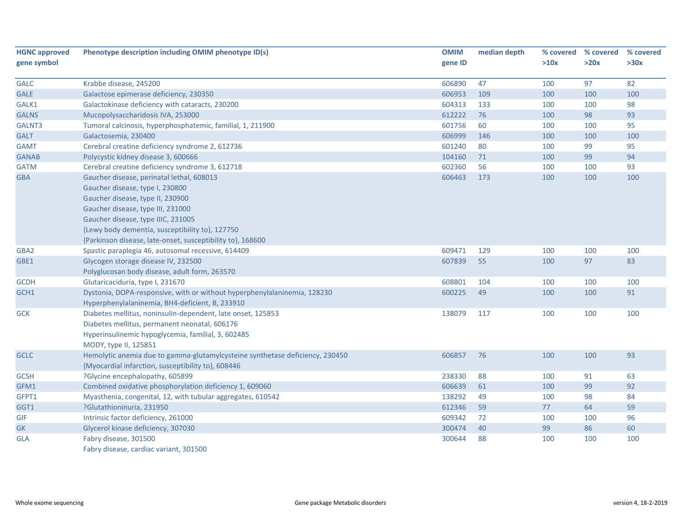| <b>HGNC approved</b><br>gene symbol | Phenotype description including OMIM phenotype ID(s)                         | <b>OMIM</b><br>gene ID | median depth | % covered<br>>10x | % covered<br>>20x | % covered<br>>30x |
|-------------------------------------|------------------------------------------------------------------------------|------------------------|--------------|-------------------|-------------------|-------------------|
|                                     |                                                                              |                        |              |                   |                   |                   |
| <b>GALC</b>                         | Krabbe disease, 245200                                                       | 606890                 | 47           | 100               | 97                | 82                |
| <b>GALE</b><br>GALK1                | Galactose epimerase deficiency, 230350                                       | 606953<br>604313       | 109<br>133   | 100<br>100        | 100<br>100        | 100<br>98         |
|                                     | Galactokinase deficiency with cataracts, 230200                              |                        |              |                   |                   | 93                |
| <b>GALNS</b>                        | Mucopolysaccharidosis IVA, 253000                                            | 612222                 | 76           | 100               | 98                |                   |
| GALNT3                              | Tumoral calcinosis, hyperphosphatemic, familial, 1, 211900                   | 601756                 | 60           | 100               | 100               | 95                |
| <b>GALT</b>                         | Galactosemia, 230400                                                         | 606999                 | 146          | 100               | 100               | 100               |
| <b>GAMT</b>                         | Cerebral creatine deficiency syndrome 2, 612736                              | 601240                 | 80           | 100               | 99                | 95                |
| <b>GANAB</b>                        | Polycystic kidney disease 3, 600666                                          | 104160                 | 71           | 100               | 99                | 94                |
| <b>GATM</b>                         | Cerebral creatine deficiency syndrome 3, 612718                              | 602360                 | 56           | 100               | 100               | 93                |
| <b>GBA</b>                          | Gaucher disease, perinatal lethal, 608013                                    | 606463                 | 173          | 100               | 100               | 100               |
|                                     | Gaucher disease, type I, 230800                                              |                        |              |                   |                   |                   |
|                                     | Gaucher disease, type II, 230900                                             |                        |              |                   |                   |                   |
|                                     | Gaucher disease, type III, 231000                                            |                        |              |                   |                   |                   |
|                                     | Gaucher disease, type IIIC, 231005                                           |                        |              |                   |                   |                   |
|                                     | {Lewy body dementia, susceptibility to}, 127750                              |                        |              |                   |                   |                   |
|                                     | {Parkinson disease, late-onset, susceptibility to}, 168600                   |                        |              |                   |                   |                   |
| GBA2                                | Spastic paraplegia 46, autosomal recessive, 614409                           | 609471                 | 129          | 100               | 100               | 100               |
| GBE1                                | Glycogen storage disease IV, 232500                                          | 607839                 | 55           | 100               | 97                | 83                |
|                                     | Polyglucosan body disease, adult form, 263570                                |                        |              |                   |                   |                   |
| <b>GCDH</b>                         | Glutaricaciduria, type I, 231670                                             | 608801                 | 104          | 100               | 100               | 100               |
| GCH1                                | Dystonia, DOPA-responsive, with or without hyperphenylalaninemia, 128230     | 600225                 | 49           | 100               | 100               | 91                |
|                                     | Hyperphenylalaninemia, BH4-deficient, B, 233910                              |                        |              |                   |                   |                   |
| <b>GCK</b>                          | Diabetes mellitus, noninsulin-dependent, late onset, 125853                  | 138079                 | 117          | 100               | 100               | 100               |
|                                     | Diabetes mellitus, permanent neonatal, 606176                                |                        |              |                   |                   |                   |
|                                     | Hyperinsulinemic hypoglycemia, familial, 3, 602485                           |                        |              |                   |                   |                   |
|                                     | MODY, type II, 125851                                                        |                        |              |                   |                   |                   |
| <b>GCLC</b>                         | Hemolytic anemia due to gamma-glutamylcysteine synthetase deficiency, 230450 | 606857                 | 76           | 100               | 100               | 93                |
|                                     | {Myocardial infarction, susceptibility to}, 608446                           |                        |              |                   |                   |                   |
| <b>GCSH</b>                         | ?Glycine encephalopathy, 605899                                              | 238330                 | 88           | 100               | 91                | 63                |
| GFM1                                | Combined oxidative phosphorylation deficiency 1, 609060                      | 606639                 | 61           | 100               | 99                | 92                |
| GFPT1                               | Myasthenia, congenital, 12, with tubular aggregates, 610542                  | 138292                 | 49           | 100               | 98                | 84                |
| GGT1                                | ?Glutathioninuria, 231950                                                    | 612346                 | 59           | 77                | 64                | 59                |
| GIF                                 | Intrinsic factor deficiency, 261000                                          | 609342                 | 72           | 100               | 100               | 96                |
| <b>GK</b>                           | Glycerol kinase deficiency, 307030                                           | 300474                 | 40           | 99                | 86                | 60                |
| <b>GLA</b>                          | Fabry disease, 301500                                                        | 300644                 | 88           | 100               | 100               | 100               |
|                                     | Fabry disease, cardiac variant, 301500                                       |                        |              |                   |                   |                   |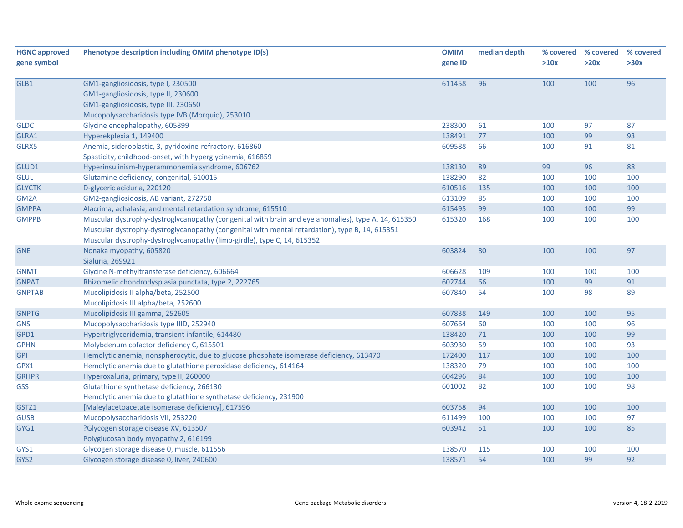| <b>HGNC approved</b> | Phenotype description including OMIM phenotype ID(s)                                                | <b>OMIM</b> | median depth | % covered | % covered | % covered |
|----------------------|-----------------------------------------------------------------------------------------------------|-------------|--------------|-----------|-----------|-----------|
| gene symbol          |                                                                                                     | gene ID     |              | >10x      | >20x      | >30x      |
| GLB1                 | GM1-gangliosidosis, type I, 230500                                                                  | 611458      | 96           | 100       | 100       | 96        |
|                      | GM1-gangliosidosis, type II, 230600                                                                 |             |              |           |           |           |
|                      | GM1-gangliosidosis, type III, 230650                                                                |             |              |           |           |           |
|                      | Mucopolysaccharidosis type IVB (Morquio), 253010                                                    |             |              |           |           |           |
| <b>GLDC</b>          | Glycine encephalopathy, 605899                                                                      | 238300      | 61           | 100       | 97        | 87        |
| GLRA1                | Hyperekplexia 1, 149400                                                                             | 138491      | 77           | 100       | 99        | 93        |
| GLRX5                | Anemia, sideroblastic, 3, pyridoxine-refractory, 616860                                             | 609588      | 66           | 100       | 91        | 81        |
|                      | Spasticity, childhood-onset, with hyperglycinemia, 616859                                           |             |              |           |           |           |
| GLUD1                | Hyperinsulinism-hyperammonemia syndrome, 606762                                                     | 138130      | 89           | 99        | 96        | 88        |
| <b>GLUL</b>          | Glutamine deficiency, congenital, 610015                                                            | 138290      | 82           | 100       | 100       | 100       |
| <b>GLYCTK</b>        | D-glyceric aciduria, 220120                                                                         | 610516      | 135          | 100       | 100       | 100       |
| GM2A                 | GM2-gangliosidosis, AB variant, 272750                                                              | 613109      | 85           | 100       | 100       | 100       |
| <b>GMPPA</b>         | Alacrima, achalasia, and mental retardation syndrome, 615510                                        | 615495      | 99           | 100       | 100       | 99        |
| <b>GMPPB</b>         | Muscular dystrophy-dystroglycanopathy (congenital with brain and eye anomalies), type A, 14, 615350 | 615320      | 168          | 100       | 100       | 100       |
|                      | Muscular dystrophy-dystroglycanopathy (congenital with mental retardation), type B, 14, 615351      |             |              |           |           |           |
|                      | Muscular dystrophy-dystroglycanopathy (limb-girdle), type C, 14, 615352                             |             |              |           |           |           |
| <b>GNE</b>           | Nonaka myopathy, 605820                                                                             | 603824      | 80           | 100       | 100       | 97        |
|                      | Sialuria, 269921                                                                                    |             |              |           |           |           |
| <b>GNMT</b>          | Glycine N-methyltransferase deficiency, 606664                                                      | 606628      | 109          | 100       | 100       | 100       |
| <b>GNPAT</b>         | Rhizomelic chondrodysplasia punctata, type 2, 222765                                                | 602744      | 66           | 100       | 99        | 91        |
| <b>GNPTAB</b>        | Mucolipidosis II alpha/beta, 252500                                                                 | 607840      | 54           | 100       | 98        | 89        |
|                      | Mucolipidosis III alpha/beta, 252600                                                                |             |              |           |           |           |
| <b>GNPTG</b>         | Mucolipidosis III gamma, 252605                                                                     | 607838      | 149          | 100       | 100       | 95        |
| <b>GNS</b>           | Mucopolysaccharidosis type IIID, 252940                                                             | 607664      | 60           | 100       | 100       | 96        |
| GPD1                 | Hypertriglyceridemia, transient infantile, 614480                                                   | 138420      | 71           | 100       | 100       | 99        |
| <b>GPHN</b>          | Molybdenum cofactor deficiency C, 615501                                                            | 603930      | 59           | 100       | 100       | 93        |
| <b>GPI</b>           | Hemolytic anemia, nonspherocytic, due to glucose phosphate isomerase deficiency, 613470             | 172400      | 117          | 100       | 100       | 100       |
| GPX1                 | Hemolytic anemia due to glutathione peroxidase deficiency, 614164                                   | 138320      | 79           | 100       | 100       | 100       |
| <b>GRHPR</b>         | Hyperoxaluria, primary, type II, 260000                                                             | 604296      | 84           | 100       | 100       | 100       |
| <b>GSS</b>           | Glutathione synthetase deficiency, 266130                                                           | 601002      | 82           | 100       | 100       | 98        |
|                      | Hemolytic anemia due to glutathione synthetase deficiency, 231900                                   |             |              |           |           |           |
| GSTZ1                | [Maleylacetoacetate isomerase deficiency], 617596                                                   | 603758      | 94           | 100       | 100       | 100       |
| <b>GUSB</b>          | Mucopolysaccharidosis VII, 253220                                                                   | 611499      | 100          | 100       | 100       | 97        |
| GYG1                 | ?Glycogen storage disease XV, 613507                                                                | 603942      | 51           | 100       | 100       | 85        |
|                      | Polyglucosan body myopathy 2, 616199                                                                |             |              |           |           |           |
| GYS1                 | Glycogen storage disease 0, muscle, 611556                                                          | 138570      | 115          | 100       | 100       | 100       |
| GYS2                 | Glycogen storage disease 0, liver, 240600                                                           | 138571      | 54           | 100       | 99        | 92        |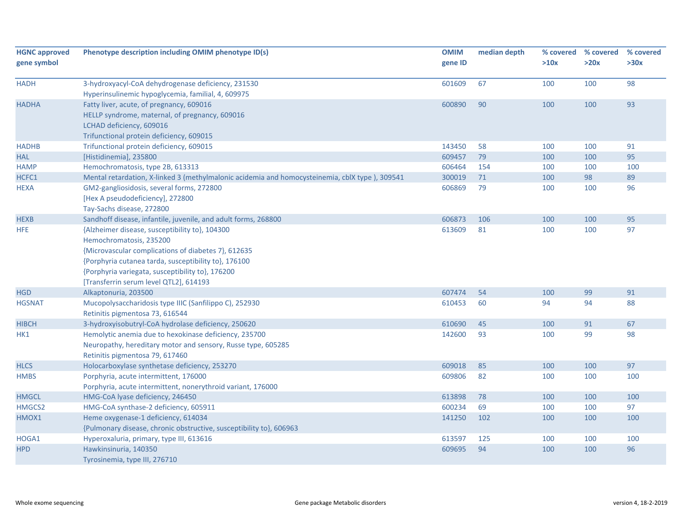| <b>HGNC approved</b> | Phenotype description including OMIM phenotype ID(s)                                                                                                                                                                                                                                   | <b>OMIM</b> | median depth | % covered | % covered | % covered |
|----------------------|----------------------------------------------------------------------------------------------------------------------------------------------------------------------------------------------------------------------------------------------------------------------------------------|-------------|--------------|-----------|-----------|-----------|
| gene symbol          |                                                                                                                                                                                                                                                                                        | gene ID     |              | >10x      | >20x      | >30x      |
| <b>HADH</b>          | 3-hydroxyacyl-CoA dehydrogenase deficiency, 231530                                                                                                                                                                                                                                     | 601609      | 67           | 100       | 100       | 98        |
|                      | Hyperinsulinemic hypoglycemia, familial, 4, 609975                                                                                                                                                                                                                                     |             |              |           |           |           |
| <b>HADHA</b>         | Fatty liver, acute, of pregnancy, 609016                                                                                                                                                                                                                                               | 600890      | 90           | 100       | 100       | 93        |
|                      | HELLP syndrome, maternal, of pregnancy, 609016<br>LCHAD deficiency, 609016                                                                                                                                                                                                             |             |              |           |           |           |
|                      | Trifunctional protein deficiency, 609015                                                                                                                                                                                                                                               |             |              |           |           |           |
| <b>HADHB</b>         | Trifunctional protein deficiency, 609015                                                                                                                                                                                                                                               | 143450      | 58           | 100       | 100       | 91        |
| <b>HAL</b>           | [Histidinemia], 235800                                                                                                                                                                                                                                                                 | 609457      | 79           | 100       | 100       | 95        |
| <b>HAMP</b>          | Hemochromatosis, type 2B, 613313                                                                                                                                                                                                                                                       | 606464      | 154          | 100       | 100       | 100       |
| HCFC1                | Mental retardation, X-linked 3 (methylmalonic acidemia and homocysteinemia, cblX type), 309541                                                                                                                                                                                         | 300019      | 71           | 100       | 98        | 89        |
| <b>HEXA</b>          | GM2-gangliosidosis, several forms, 272800<br>[Hex A pseudodeficiency], 272800<br>Tay-Sachs disease, 272800                                                                                                                                                                             | 606869      | 79           | 100       | 100       | 96        |
| <b>HEXB</b>          | Sandhoff disease, infantile, juvenile, and adult forms, 268800                                                                                                                                                                                                                         | 606873      | 106          | 100       | 100       | 95        |
| <b>HFE</b>           | {Alzheimer disease, susceptibility to}, 104300<br>Hemochromatosis, 235200<br>{Microvascular complications of diabetes 7}, 612635<br>{Porphyria cutanea tarda, susceptibility to}, 176100<br>{Porphyria variegata, susceptibility to}, 176200<br>[Transferrin serum level QTL2], 614193 | 613609      | 81           | 100       | 100       | 97        |
| <b>HGD</b>           | Alkaptonuria, 203500                                                                                                                                                                                                                                                                   | 607474      | 54           | 100       | 99        | 91        |
| <b>HGSNAT</b>        | Mucopolysaccharidosis type IIIC (Sanfilippo C), 252930<br>Retinitis pigmentosa 73, 616544                                                                                                                                                                                              | 610453      | 60           | 94        | 94        | 88        |
| <b>HIBCH</b>         | 3-hydroxyisobutryl-CoA hydrolase deficiency, 250620                                                                                                                                                                                                                                    | 610690      | 45           | 100       | 91        | 67        |
| HK1                  | Hemolytic anemia due to hexokinase deficiency, 235700<br>Neuropathy, hereditary motor and sensory, Russe type, 605285<br>Retinitis pigmentosa 79, 617460                                                                                                                               | 142600      | 93           | 100       | 99        | 98        |
| <b>HLCS</b>          | Holocarboxylase synthetase deficiency, 253270                                                                                                                                                                                                                                          | 609018      | 85           | 100       | 100       | 97        |
| <b>HMBS</b>          | Porphyria, acute intermittent, 176000<br>Porphyria, acute intermittent, nonerythroid variant, 176000                                                                                                                                                                                   | 609806      | 82           | 100       | 100       | 100       |
| <b>HMGCL</b>         | HMG-CoA lyase deficiency, 246450                                                                                                                                                                                                                                                       | 613898      | 78           | 100       | 100       | 100       |
| HMGCS2               | HMG-CoA synthase-2 deficiency, 605911                                                                                                                                                                                                                                                  | 600234      | 69           | 100       | 100       | 97        |
| HMOX1                | Heme oxygenase-1 deficiency, 614034<br>{Pulmonary disease, chronic obstructive, susceptibility to}, 606963                                                                                                                                                                             | 141250      | 102          | 100       | 100       | 100       |
| HOGA1                | Hyperoxaluria, primary, type III, 613616                                                                                                                                                                                                                                               | 613597      | 125          | 100       | 100       | 100       |
| <b>HPD</b>           | Hawkinsinuria, 140350<br>Tyrosinemia, type III, 276710                                                                                                                                                                                                                                 | 609695      | 94           | 100       | 100       | 96        |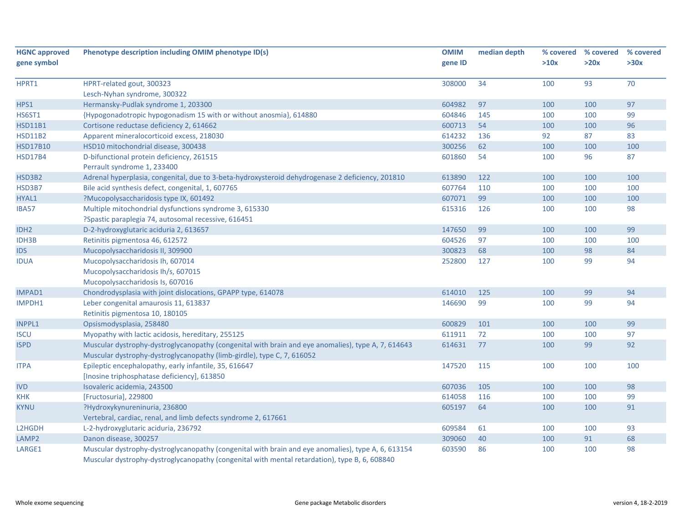| <b>HGNC approved</b> | Phenotype description including OMIM phenotype ID(s)                                               | <b>OMIM</b> | median depth |      | % covered % covered | % covered |
|----------------------|----------------------------------------------------------------------------------------------------|-------------|--------------|------|---------------------|-----------|
| gene symbol          |                                                                                                    | gene ID     |              | >10x | >20x                | >30x      |
| HPRT1                | HPRT-related gout, 300323                                                                          | 308000      | 34           | 100  | 93                  | 70        |
|                      | Lesch-Nyhan syndrome, 300322                                                                       |             |              |      |                     |           |
| HPS1                 | Hermansky-Pudlak syndrome 1, 203300                                                                | 604982      | 97           | 100  | 100                 | 97        |
| <b>HS6ST1</b>        | {Hypogonadotropic hypogonadism 15 with or without anosmia}, 614880                                 | 604846      | 145          | 100  | 100                 | 99        |
| <b>HSD11B1</b>       | Cortisone reductase deficiency 2, 614662                                                           | 600713      | 54           | 100  | 100                 | 96        |
| <b>HSD11B2</b>       | Apparent mineralocorticoid excess, 218030                                                          | 614232      | 136          | 92   | 87                  | 83        |
| <b>HSD17B10</b>      | HSD10 mitochondrial disease, 300438                                                                | 300256      | 62           | 100  | 100                 | 100       |
| <b>HSD17B4</b>       | D-bifunctional protein deficiency, 261515                                                          | 601860      | 54           | 100  | 96                  | 87        |
|                      | Perrault syndrome 1, 233400                                                                        |             |              |      |                     |           |
| HSD3B2               | Adrenal hyperplasia, congenital, due to 3-beta-hydroxysteroid dehydrogenase 2 deficiency, 201810   | 613890      | 122          | 100  | 100                 | 100       |
| HSD3B7               | Bile acid synthesis defect, congenital, 1, 607765                                                  | 607764      | 110          | 100  | 100                 | 100       |
| HYAL1                | ?Mucopolysaccharidosis type IX, 601492                                                             | 607071      | 99           | 100  | 100                 | 100       |
| IBA57                | Multiple mitochondrial dysfunctions syndrome 3, 615330                                             | 615316      | 126          | 100  | 100                 | 98        |
|                      | ?Spastic paraplegia 74, autosomal recessive, 616451                                                |             |              |      |                     |           |
| IDH <sub>2</sub>     | D-2-hydroxyglutaric aciduria 2, 613657                                                             | 147650      | 99           | 100  | 100                 | 99        |
| IDH3B                | Retinitis pigmentosa 46, 612572                                                                    | 604526      | 97           | 100  | 100                 | 100       |
| <b>IDS</b>           | Mucopolysaccharidosis II, 309900                                                                   | 300823      | 68           | 100  | 98                  | 84        |
| <b>IDUA</b>          | Mucopolysaccharidosis Ih, 607014                                                                   | 252800      | 127          | 100  | 99                  | 94        |
|                      | Mucopolysaccharidosis Ih/s, 607015                                                                 |             |              |      |                     |           |
|                      | Mucopolysaccharidosis Is, 607016                                                                   |             |              |      |                     |           |
| IMPAD1               | Chondrodysplasia with joint dislocations, GPAPP type, 614078                                       | 614010      | 125          | 100  | 99                  | 94        |
| IMPDH1               | Leber congenital amaurosis 11, 613837                                                              | 146690      | 99           | 100  | 99                  | 94        |
|                      | Retinitis pigmentosa 10, 180105                                                                    |             |              |      |                     |           |
| <b>INPPL1</b>        | Opsismodysplasia, 258480                                                                           | 600829      | 101          | 100  | 100                 | 99        |
| <b>ISCU</b>          | Myopathy with lactic acidosis, hereditary, 255125                                                  | 611911      | 72           | 100  | 100                 | 97        |
| <b>ISPD</b>          | Muscular dystrophy-dystroglycanopathy (congenital with brain and eye anomalies), type A, 7, 614643 | 614631      | 77           | 100  | 99                  | 92        |
|                      | Muscular dystrophy-dystroglycanopathy (limb-girdle), type C, 7, 616052                             |             |              |      |                     |           |
| <b>ITPA</b>          | Epileptic encephalopathy, early infantile, 35, 616647                                              | 147520      | 115          | 100  | 100                 | 100       |
|                      | [Inosine triphosphatase deficiency], 613850                                                        |             |              |      |                     |           |
| <b>IVD</b>           | Isovaleric acidemia, 243500                                                                        | 607036      | 105          | 100  | 100                 | 98        |
| <b>KHK</b>           | [Fructosuria], 229800                                                                              | 614058      | 116          | 100  | 100                 | 99        |
| <b>KYNU</b>          | ?Hydroxykynureninuria, 236800                                                                      | 605197      | 64           | 100  | 100                 | 91        |
|                      | Vertebral, cardiac, renal, and limb defects syndrome 2, 617661                                     |             |              |      |                     |           |
| L2HGDH               | L-2-hydroxyglutaric aciduria, 236792                                                               | 609584      | 61           | 100  | 100                 | 93        |
| LAMP2                | Danon disease, 300257                                                                              | 309060      | 40           | 100  | 91                  | 68        |
| LARGE1               | Muscular dystrophy-dystroglycanopathy (congenital with brain and eye anomalies), type A, 6, 613154 | 603590      | 86           | 100  | 100                 | 98        |
|                      | Muscular dystrophy-dystroglycanopathy (congenital with mental retardation), type B, 6, 608840      |             |              |      |                     |           |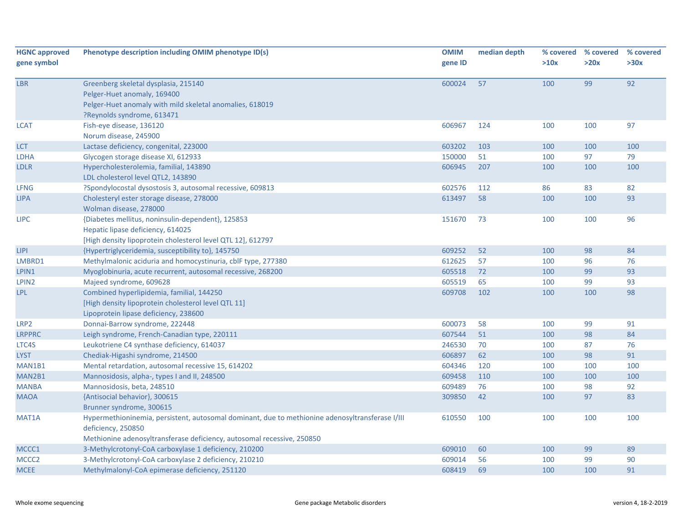| <b>HGNC approved</b> | Phenotype description including OMIM phenotype ID(s)                                            | <b>OMIM</b> | median depth | % covered | % covered | % covered |
|----------------------|-------------------------------------------------------------------------------------------------|-------------|--------------|-----------|-----------|-----------|
| gene symbol          |                                                                                                 | gene ID     |              | >10x      | >20x      | >30x      |
|                      |                                                                                                 |             |              |           |           |           |
| <b>LBR</b>           | Greenberg skeletal dysplasia, 215140                                                            | 600024      | 57           | 100       | 99        | 92        |
|                      | Pelger-Huet anomaly, 169400                                                                     |             |              |           |           |           |
|                      | Pelger-Huet anomaly with mild skeletal anomalies, 618019                                        |             |              |           |           |           |
|                      | ?Reynolds syndrome, 613471                                                                      |             |              |           |           |           |
| <b>LCAT</b>          | Fish-eye disease, 136120                                                                        | 606967      | 124          | 100       | 100       | 97        |
|                      | Norum disease, 245900                                                                           |             |              |           |           |           |
| <b>LCT</b>           | Lactase deficiency, congenital, 223000                                                          | 603202      | 103          | 100       | 100       | 100       |
| <b>LDHA</b>          | Glycogen storage disease XI, 612933                                                             | 150000      | 51           | 100       | 97        | 79        |
| <b>LDLR</b>          | Hypercholesterolemia, familial, 143890                                                          | 606945      | 207          | 100       | 100       | 100       |
|                      | LDL cholesterol level QTL2, 143890                                                              |             |              |           |           |           |
| <b>LFNG</b>          | ?Spondylocostal dysostosis 3, autosomal recessive, 609813                                       | 602576      | 112          | 86        | 83        | 82        |
| <b>LIPA</b>          | Cholesteryl ester storage disease, 278000                                                       | 613497      | 58           | 100       | 100       | 93        |
|                      | Wolman disease, 278000                                                                          |             |              |           |           |           |
| <b>LIPC</b>          | {Diabetes mellitus, noninsulin-dependent}, 125853                                               | 151670      | 73           | 100       | 100       | 96        |
|                      | Hepatic lipase deficiency, 614025                                                               |             |              |           |           |           |
|                      | [High density lipoprotein cholesterol level QTL 12], 612797                                     |             |              |           |           |           |
| <b>LIPI</b>          | {Hypertriglyceridemia, susceptibility to}, 145750                                               | 609252      | 52           | 100       | 98        | 84        |
| LMBRD1               | Methylmalonic aciduria and homocystinuria, cblF type, 277380                                    | 612625      | 57           | 100       | 96        | 76        |
| LPIN1                | Myoglobinuria, acute recurrent, autosomal recessive, 268200                                     | 605518      | 72           | 100       | 99        | 93        |
| LPIN <sub>2</sub>    | Majeed syndrome, 609628                                                                         | 605519      | 65           | 100       | 99        | 93        |
| <b>LPL</b>           | Combined hyperlipidemia, familial, 144250                                                       | 609708      | 102          | 100       | 100       | 98        |
|                      | [High density lipoprotein cholesterol level QTL 11]                                             |             |              |           |           |           |
|                      | Lipoprotein lipase deficiency, 238600                                                           |             |              |           |           |           |
| LRP <sub>2</sub>     | Donnai-Barrow syndrome, 222448                                                                  | 600073      | 58           | 100       | 99        | 91        |
| <b>LRPPRC</b>        | Leigh syndrome, French-Canadian type, 220111                                                    | 607544      | 51           | 100       | 98        | 84        |
| LTC4S                | Leukotriene C4 synthase deficiency, 614037                                                      | 246530      | 70           | 100       | 87        | 76        |
| <b>LYST</b>          | Chediak-Higashi syndrome, 214500                                                                | 606897      | 62           | 100       | 98        | 91        |
| MAN1B1               | Mental retardation, autosomal recessive 15, 614202                                              | 604346      | 120          | 100       | 100       | 100       |
| MAN2B1               | Mannosidosis, alpha-, types I and II, 248500                                                    | 609458      | 110          | 100       | 100       | 100       |
| <b>MANBA</b>         | Mannosidosis, beta, 248510                                                                      | 609489      | 76           | 100       | 98        | 92        |
| <b>MAOA</b>          | {Antisocial behavior}, 300615                                                                   | 309850      | 42           | 100       | 97        | 83        |
|                      | Brunner syndrome, 300615                                                                        |             |              |           |           |           |
| MAT1A                | Hypermethioninemia, persistent, autosomal dominant, due to methionine adenosyltransferase I/III | 610550      | 100          | 100       | 100       | 100       |
|                      | deficiency, 250850                                                                              |             |              |           |           |           |
|                      | Methionine adenosyltransferase deficiency, autosomal recessive, 250850                          |             |              |           |           |           |
| MCCC1                | 3-Methylcrotonyl-CoA carboxylase 1 deficiency, 210200                                           | 609010      | 60           | 100       | 99        | 89        |
| MCCC <sub>2</sub>    | 3-Methylcrotonyl-CoA carboxylase 2 deficiency, 210210                                           | 609014      | 56           | 100       | 99        | 90        |
| <b>MCEE</b>          | Methylmalonyl-CoA epimerase deficiency, 251120                                                  | 608419      | 69           | 100       | 100       | 91        |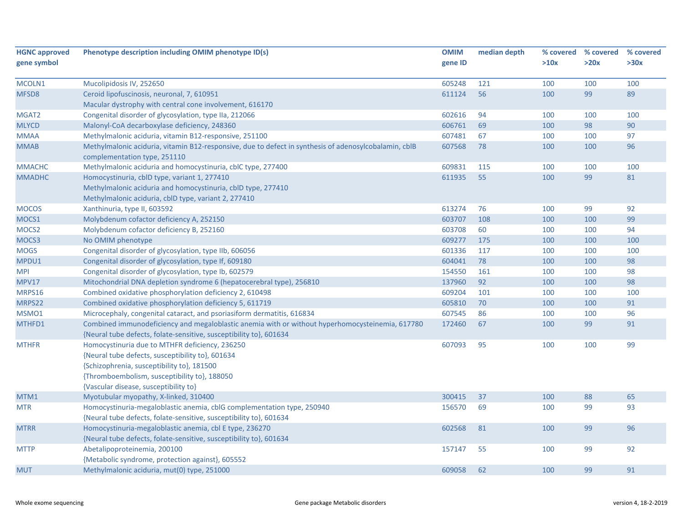| <b>HGNC approved</b> | Phenotype description including OMIM phenotype ID(s)                                                                                  | <b>OMIM</b> | median depth |      | % covered % covered | % covered |
|----------------------|---------------------------------------------------------------------------------------------------------------------------------------|-------------|--------------|------|---------------------|-----------|
| gene symbol          |                                                                                                                                       | gene ID     |              | >10x | >20x                | >30x      |
|                      |                                                                                                                                       |             |              |      |                     |           |
| MCOLN1               | Mucolipidosis IV, 252650                                                                                                              | 605248      | 121          | 100  | 100                 | 100       |
| MFSD8                | Ceroid lipofuscinosis, neuronal, 7, 610951                                                                                            | 611124      | 56           | 100  | 99                  | 89        |
|                      | Macular dystrophy with central cone involvement, 616170                                                                               |             |              |      |                     |           |
| MGAT <sub>2</sub>    | Congenital disorder of glycosylation, type IIa, 212066                                                                                | 602616      | 94           | 100  | 100                 | 100       |
| <b>MLYCD</b>         | Malonyl-CoA decarboxylase deficiency, 248360                                                                                          | 606761      | 69           | 100  | 98                  | 90        |
| <b>MMAA</b>          | Methylmalonic aciduria, vitamin B12-responsive, 251100                                                                                | 607481      | 67           | 100  | 100                 | 97        |
| <b>MMAB</b>          | Methylmalonic aciduria, vitamin B12-responsive, due to defect in synthesis of adenosylcobalamin, cblB<br>complementation type, 251110 | 607568      | 78           | 100  | 100                 | 96        |
| <b>MMACHC</b>        | Methylmalonic aciduria and homocystinuria, cblC type, 277400                                                                          | 609831      | 115          | 100  | 100                 | 100       |
| <b>MMADHC</b>        | Homocystinuria, cblD type, variant 1, 277410                                                                                          | 611935      | 55           | 100  | 99                  | 81        |
|                      | Methylmalonic aciduria and homocystinuria, cbID type, 277410                                                                          |             |              |      |                     |           |
|                      | Methylmalonic aciduria, cblD type, variant 2, 277410                                                                                  |             |              |      |                     |           |
| <b>MOCOS</b>         | Xanthinuria, type II, 603592                                                                                                          | 613274      | 76           | 100  | 99                  | 92        |
| MOCS1                | Molybdenum cofactor deficiency A, 252150                                                                                              | 603707      | 108          | 100  | 100                 | 99        |
| MOCS <sub>2</sub>    | Molybdenum cofactor deficiency B, 252160                                                                                              | 603708      | 60           | 100  | 100                 | 94        |
| MOCS3                | No OMIM phenotype                                                                                                                     | 609277      | 175          | 100  | 100                 | 100       |
| <b>MOGS</b>          | Congenital disorder of glycosylation, type IIb, 606056                                                                                | 601336      | 117          | 100  | 100                 | 100       |
| MPDU1                | Congenital disorder of glycosylation, type If, 609180                                                                                 | 604041      | 78           | 100  | 100                 | 98        |
| <b>MPI</b>           | Congenital disorder of glycosylation, type Ib, 602579                                                                                 | 154550      | 161          | 100  | 100                 | 98        |
| <b>MPV17</b>         | Mitochondrial DNA depletion syndrome 6 (hepatocerebral type), 256810                                                                  | 137960      | 92           | 100  | 100                 | 98        |
| MRPS16               | Combined oxidative phosphorylation deficiency 2, 610498                                                                               | 609204      | 101          | 100  | 100                 | 100       |
| MRPS22               | Combined oxidative phosphorylation deficiency 5, 611719                                                                               | 605810      | 70           | 100  | 100                 | 91        |
| MSMO1                | Microcephaly, congenital cataract, and psoriasiform dermatitis, 616834                                                                | 607545      | 86           | 100  | 100                 | 96        |
| MTHFD1               | Combined immunodeficiency and megaloblastic anemia with or without hyperhomocysteinemia, 617780                                       | 172460      | 67           | 100  | 99                  | 91        |
|                      | {Neural tube defects, folate-sensitive, susceptibility to}, 601634                                                                    |             |              |      |                     |           |
| <b>MTHFR</b>         | Homocystinuria due to MTHFR deficiency, 236250                                                                                        | 607093      | 95           | 100  | 100                 | 99        |
|                      | {Neural tube defects, susceptibility to}, 601634                                                                                      |             |              |      |                     |           |
|                      | {Schizophrenia, susceptibility to}, 181500                                                                                            |             |              |      |                     |           |
|                      | {Thromboembolism, susceptibility to}, 188050                                                                                          |             |              |      |                     |           |
|                      | {Vascular disease, susceptibility to}                                                                                                 |             |              |      |                     |           |
| MTM1                 | Myotubular myopathy, X-linked, 310400                                                                                                 | 300415      | 37           | 100  | 88                  | 65        |
| <b>MTR</b>           | Homocystinuria-megaloblastic anemia, cblG complementation type, 250940                                                                | 156570      | 69           | 100  | 99                  | 93        |
|                      | {Neural tube defects, folate-sensitive, susceptibility to}, 601634                                                                    |             |              |      |                     |           |
| <b>MTRR</b>          | Homocystinuria-megaloblastic anemia, cbl E type, 236270                                                                               | 602568      | 81           | 100  | 99                  | 96        |
|                      | {Neural tube defects, folate-sensitive, susceptibility to}, 601634                                                                    |             |              |      |                     |           |
| <b>MTTP</b>          | Abetalipoproteinemia, 200100                                                                                                          | 157147      | 55           | 100  | 99                  | 92        |
|                      | {Metabolic syndrome, protection against}, 605552                                                                                      |             |              |      |                     |           |
| <b>MUT</b>           | Methylmalonic aciduria, mut(0) type, 251000                                                                                           | 609058      | 62           | 100  | 99                  | 91        |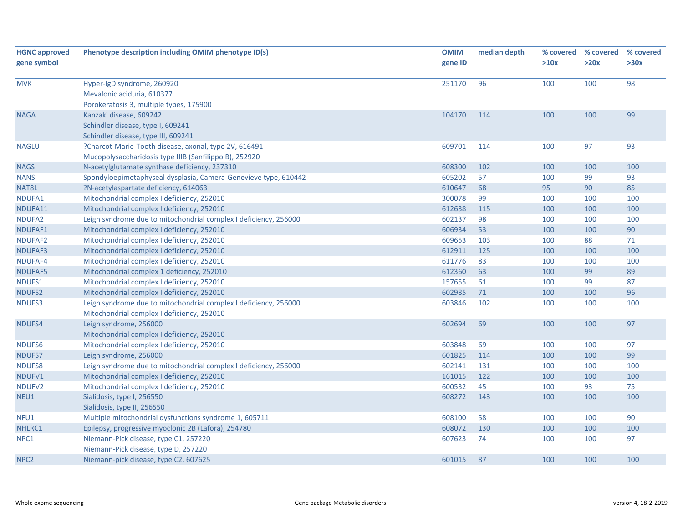| <b>HGNC approved</b><br>gene symbol | Phenotype description including OMIM phenotype ID(s)                                                            | <b>OMIM</b><br>gene ID | median depth | % covered<br>>10x | % covered<br>>20x | % covered<br>>30x |
|-------------------------------------|-----------------------------------------------------------------------------------------------------------------|------------------------|--------------|-------------------|-------------------|-------------------|
| <b>MVK</b>                          | Hyper-IgD syndrome, 260920<br>Mevalonic aciduria, 610377<br>Porokeratosis 3, multiple types, 175900             | 251170                 | 96           | 100               | 100               | 98                |
| <b>NAGA</b>                         | Kanzaki disease, 609242<br>Schindler disease, type I, 609241<br>Schindler disease, type III, 609241             | 104170                 | 114          | 100               | 100               | 99                |
| <b>NAGLU</b>                        | ?Charcot-Marie-Tooth disease, axonal, type 2V, 616491<br>Mucopolysaccharidosis type IIIB (Sanfilippo B), 252920 | 609701                 | 114          | 100               | 97                | 93                |
| <b>NAGS</b>                         | N-acetylglutamate synthase deficiency, 237310                                                                   | 608300                 | 102          | 100               | 100               | 100               |
| <b>NANS</b>                         | Spondyloepimetaphyseal dysplasia, Camera-Genevieve type, 610442                                                 | 605202                 | 57           | 100               | 99                | 93                |
| NAT8L                               | ?N-acetylaspartate deficiency, 614063                                                                           | 610647                 | 68           | 95                | 90                | 85                |
| NDUFA1                              | Mitochondrial complex I deficiency, 252010                                                                      | 300078                 | 99           | 100               | 100               | 100               |
| NDUFA11                             | Mitochondrial complex I deficiency, 252010                                                                      | 612638                 | 115          | 100               | 100               | 100               |
| NDUFA2                              | Leigh syndrome due to mitochondrial complex I deficiency, 256000                                                | 602137                 | 98           | 100               | 100               | 100               |
| NDUFAF1                             | Mitochondrial complex I deficiency, 252010                                                                      | 606934                 | 53           | 100               | 100               | 90                |
| NDUFAF2                             | Mitochondrial complex I deficiency, 252010                                                                      | 609653                 | 103          | 100               | 88                | 71                |
| <b>NDUFAF3</b>                      | Mitochondrial complex I deficiency, 252010                                                                      | 612911                 | 125          | 100               | 100               | 100               |
| NDUFAF4                             | Mitochondrial complex I deficiency, 252010                                                                      | 611776                 | 83           | 100               | 100               | 100               |
| NDUFAF5                             | Mitochondrial complex 1 deficiency, 252010                                                                      | 612360                 | 63           | 100               | 99                | 89                |
| NDUFS1                              | Mitochondrial complex I deficiency, 252010                                                                      | 157655                 | 61           | 100               | 99                | 87                |
| <b>NDUFS2</b>                       | Mitochondrial complex I deficiency, 252010                                                                      | 602985                 | 71           | 100               | 100               | 96                |
| NDUFS3                              | Leigh syndrome due to mitochondrial complex I deficiency, 256000<br>Mitochondrial complex I deficiency, 252010  | 603846                 | 102          | 100               | 100               | 100               |
| NDUFS4                              | Leigh syndrome, 256000<br>Mitochondrial complex I deficiency, 252010                                            | 602694                 | 69           | 100               | 100               | 97                |
| <b>NDUFS6</b>                       | Mitochondrial complex I deficiency, 252010                                                                      | 603848                 | 69           | 100               | 100               | 97                |
| <b>NDUFS7</b>                       | Leigh syndrome, 256000                                                                                          | 601825                 | 114          | 100               | 100               | 99                |
| <b>NDUFS8</b>                       | Leigh syndrome due to mitochondrial complex I deficiency, 256000                                                | 602141                 | 131          | 100               | 100               | 100               |
| NDUFV1                              | Mitochondrial complex I deficiency, 252010                                                                      | 161015                 | 122          | 100               | 100               | 100               |
| NDUFV2                              | Mitochondrial complex I deficiency, 252010                                                                      | 600532                 | 45           | 100               | 93                | 75                |
| NEU1                                | Sialidosis, type I, 256550<br>Sialidosis, type II, 256550                                                       | 608272                 | 143          | 100               | 100               | 100               |
| NFU1                                | Multiple mitochondrial dysfunctions syndrome 1, 605711                                                          | 608100                 | 58           | 100               | 100               | 90                |
| NHLRC1                              | Epilepsy, progressive myoclonic 2B (Lafora), 254780                                                             | 608072                 | 130          | 100               | 100               | 100               |
| NPC1                                | Niemann-Pick disease, type C1, 257220<br>Niemann-Pick disease, type D, 257220                                   | 607623                 | 74           | 100               | 100               | 97                |
| NPC <sub>2</sub>                    | Niemann-pick disease, type C2, 607625                                                                           | 601015                 | 87           | 100               | 100               | 100               |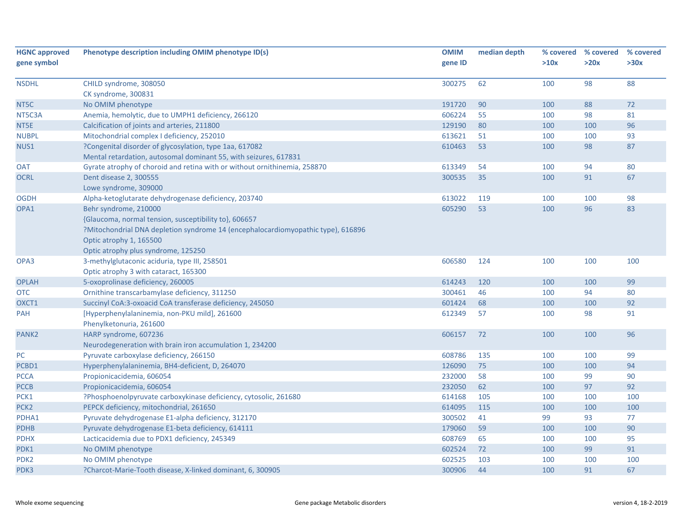| <b>HGNC approved</b> | Phenotype description including OMIM phenotype ID(s)                             | <b>OMIM</b> | median depth | % covered | % covered | % covered |
|----------------------|----------------------------------------------------------------------------------|-------------|--------------|-----------|-----------|-----------|
| gene symbol          |                                                                                  | gene ID     |              | >10x      | >20x      | >30x      |
| <b>NSDHL</b>         | CHILD syndrome, 308050                                                           | 300275      | 62           | 100       | 98        | 88        |
|                      | CK syndrome, 300831                                                              |             |              |           |           |           |
| NT5C                 | No OMIM phenotype                                                                | 191720      | 90           | 100       | 88        | 72        |
| NT5C3A               | Anemia, hemolytic, due to UMPH1 deficiency, 266120                               | 606224      | 55           | 100       | 98        | 81        |
| NT5E                 | Calcification of joints and arteries, 211800                                     | 129190      | 80           | 100       | 100       | 96        |
| <b>NUBPL</b>         | Mitochondrial complex I deficiency, 252010                                       | 613621      | 51           | 100       | 100       | 93        |
| NUS1                 | ?Congenital disorder of glycosylation, type 1aa, 617082                          | 610463      | 53           | 100       | 98        | 87        |
|                      | Mental retardation, autosomal dominant 55, with seizures, 617831                 |             |              |           |           |           |
| <b>OAT</b>           | Gyrate atrophy of choroid and retina with or without ornithinemia, 258870        | 613349      | 54           | 100       | 94        | 80        |
| <b>OCRL</b>          | Dent disease 2, 300555                                                           | 300535      | 35           | 100       | 91        | 67        |
|                      | Lowe syndrome, 309000                                                            |             |              |           |           |           |
| <b>OGDH</b>          | Alpha-ketoglutarate dehydrogenase deficiency, 203740                             | 613022      | 119          | 100       | 100       | 98        |
| OPA1                 | Behr syndrome, 210000                                                            | 605290      | 53           | 100       | 96        | 83        |
|                      | {Glaucoma, normal tension, susceptibility to}, 606657                            |             |              |           |           |           |
|                      | ?Mitochondrial DNA depletion syndrome 14 (encephalocardiomyopathic type), 616896 |             |              |           |           |           |
|                      | Optic atrophy 1, 165500                                                          |             |              |           |           |           |
|                      | Optic atrophy plus syndrome, 125250                                              |             |              |           |           |           |
| OPA3                 | 3-methylglutaconic aciduria, type III, 258501                                    | 606580      | 124          | 100       | 100       | 100       |
|                      | Optic atrophy 3 with cataract, 165300                                            |             |              |           |           |           |
| <b>OPLAH</b>         | 5-oxoprolinase deficiency, 260005                                                | 614243      | 120          | 100       | 100       | 99        |
| <b>OTC</b>           | Ornithine transcarbamylase deficiency, 311250                                    | 300461      | 46           | 100       | 94        | 80        |
| OXCT1                | Succinyl CoA:3-oxoacid CoA transferase deficiency, 245050                        | 601424      | 68           | 100       | 100       | 92        |
| <b>PAH</b>           | [Hyperphenylalaninemia, non-PKU mild], 261600                                    | 612349      | 57           | 100       | 98        | 91        |
|                      | Phenylketonuria, 261600                                                          |             |              |           |           |           |
| PANK <sub>2</sub>    | HARP syndrome, 607236                                                            | 606157      | 72           | 100       | 100       | 96        |
|                      | Neurodegeneration with brain iron accumulation 1, 234200                         |             |              |           |           |           |
| $PC$                 | Pyruvate carboxylase deficiency, 266150                                          | 608786      | 135          | 100       | 100       | 99        |
| PCBD1                | Hyperphenylalaninemia, BH4-deficient, D, 264070                                  | 126090      | 75           | 100       | 100       | 94        |
| <b>PCCA</b>          | Propionicacidemia, 606054                                                        | 232000      | 58           | 100       | 99        | 90        |
| <b>PCCB</b>          | Propionicacidemia, 606054                                                        | 232050      | 62           | 100       | 97        | 92        |
| PCK1                 | ?Phosphoenolpyruvate carboxykinase deficiency, cytosolic, 261680                 | 614168      | 105          | 100       | 100       | 100       |
| PCK <sub>2</sub>     | PEPCK deficiency, mitochondrial, 261650                                          | 614095      | 115          | 100       | 100       | 100       |
| PDHA1                | Pyruvate dehydrogenase E1-alpha deficiency, 312170                               | 300502      | 41           | 99        | 93        | 77        |
| <b>PDHB</b>          | Pyruvate dehydrogenase E1-beta deficiency, 614111                                | 179060      | 59           | 100       | 100       | 90        |
| <b>PDHX</b>          | Lacticacidemia due to PDX1 deficiency, 245349                                    | 608769      | 65           | 100       | 100       | 95        |
| PDK1                 | No OMIM phenotype                                                                | 602524      | 72           | 100       | 99        | 91        |
| PDK <sub>2</sub>     | No OMIM phenotype                                                                | 602525      | 103          | 100       | 100       | 100       |
| PDK3                 | ?Charcot-Marie-Tooth disease, X-linked dominant, 6, 300905                       | 300906      | 44           | 100       | 91        | 67        |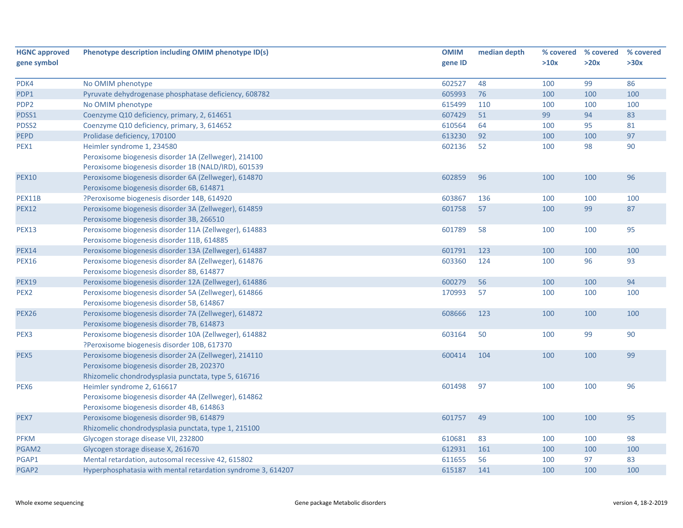| <b>HGNC approved</b> | Phenotype description including OMIM phenotype ID(s)         | <b>OMIM</b> | median depth |      | % covered % covered | % covered |
|----------------------|--------------------------------------------------------------|-------------|--------------|------|---------------------|-----------|
| gene symbol          |                                                              | gene ID     |              | >10x | >20x                | >30x      |
|                      |                                                              |             |              |      |                     |           |
| PDK4                 | No OMIM phenotype                                            | 602527      | 48           | 100  | 99                  | 86        |
| PDP1                 | Pyruvate dehydrogenase phosphatase deficiency, 608782        | 605993      | 76           | 100  | 100                 | 100       |
| PDP <sub>2</sub>     | No OMIM phenotype                                            | 615499      | 110          | 100  | 100                 | 100       |
| PDSS1                | Coenzyme Q10 deficiency, primary, 2, 614651                  | 607429      | 51           | 99   | 94                  | 83        |
| PDSS2                | Coenzyme Q10 deficiency, primary, 3, 614652                  | 610564      | 64           | 100  | 95                  | 81        |
| <b>PEPD</b>          | Prolidase deficiency, 170100                                 | 613230      | 92           | 100  | 100                 | 97        |
| PEX1                 | Heimler syndrome 1, 234580                                   | 602136      | 52           | 100  | 98                  | 90        |
|                      | Peroxisome biogenesis disorder 1A (Zellweger), 214100        |             |              |      |                     |           |
|                      | Peroxisome biogenesis disorder 1B (NALD/IRD), 601539         |             |              |      |                     |           |
| <b>PEX10</b>         | Peroxisome biogenesis disorder 6A (Zellweger), 614870        | 602859      | 96           | 100  | 100                 | 96        |
|                      | Peroxisome biogenesis disorder 6B, 614871                    |             |              |      |                     |           |
| PEX11B               | ?Peroxisome biogenesis disorder 14B, 614920                  | 603867      | 136          | 100  | 100                 | 100       |
| <b>PEX12</b>         | Peroxisome biogenesis disorder 3A (Zellweger), 614859        | 601758      | 57           | 100  | 99                  | 87        |
|                      | Peroxisome biogenesis disorder 3B, 266510                    |             |              |      |                     |           |
| <b>PEX13</b>         | Peroxisome biogenesis disorder 11A (Zellweger), 614883       | 601789      | 58           | 100  | 100                 | 95        |
|                      | Peroxisome biogenesis disorder 11B, 614885                   |             |              |      |                     |           |
| <b>PEX14</b>         | Peroxisome biogenesis disorder 13A (Zellweger), 614887       | 601791      | 123          | 100  | 100                 | 100       |
| <b>PEX16</b>         | Peroxisome biogenesis disorder 8A (Zellweger), 614876        | 603360      | 124          | 100  | 96                  | 93        |
|                      | Peroxisome biogenesis disorder 8B, 614877                    |             |              |      |                     |           |
| <b>PEX19</b>         | Peroxisome biogenesis disorder 12A (Zellweger), 614886       | 600279      | 56           | 100  | 100                 | 94        |
| PEX <sub>2</sub>     | Peroxisome biogenesis disorder 5A (Zellweger), 614866        | 170993      | 57           | 100  | 100                 | 100       |
|                      | Peroxisome biogenesis disorder 5B, 614867                    |             |              |      |                     |           |
| <b>PEX26</b>         | Peroxisome biogenesis disorder 7A (Zellweger), 614872        | 608666      | 123          | 100  | 100                 | 100       |
|                      | Peroxisome biogenesis disorder 7B, 614873                    |             |              |      |                     |           |
| PEX3                 | Peroxisome biogenesis disorder 10A (Zellweger), 614882       | 603164      | 50           | 100  | 99                  | 90        |
|                      | ?Peroxisome biogenesis disorder 10B, 617370                  |             |              |      |                     |           |
| PEX <sub>5</sub>     | Peroxisome biogenesis disorder 2A (Zellweger), 214110        | 600414      | 104          | 100  | 100                 | 99        |
|                      | Peroxisome biogenesis disorder 2B, 202370                    |             |              |      |                     |           |
|                      | Rhizomelic chondrodysplasia punctata, type 5, 616716         |             |              |      |                     |           |
| PEX <sub>6</sub>     | Heimler syndrome 2, 616617                                   | 601498      | 97           | 100  | 100                 | 96        |
|                      | Peroxisome biogenesis disorder 4A (Zellweger), 614862        |             |              |      |                     |           |
|                      | Peroxisome biogenesis disorder 4B, 614863                    |             |              |      |                     |           |
| PEX7                 | Peroxisome biogenesis disorder 9B, 614879                    | 601757      | 49           | 100  | 100                 | 95        |
|                      | Rhizomelic chondrodysplasia punctata, type 1, 215100         |             |              |      |                     |           |
| <b>PFKM</b>          | Glycogen storage disease VII, 232800                         | 610681      | 83           | 100  | 100                 | 98        |
| PGAM2                | Glycogen storage disease X, 261670                           | 612931      | 161          | 100  | 100                 | 100       |
| PGAP1                | Mental retardation, autosomal recessive 42, 615802           | 611655      | 56           | 100  | 97                  | 83        |
| PGAP2                | Hyperphosphatasia with mental retardation syndrome 3, 614207 | 615187      | 141          | 100  | 100                 | 100       |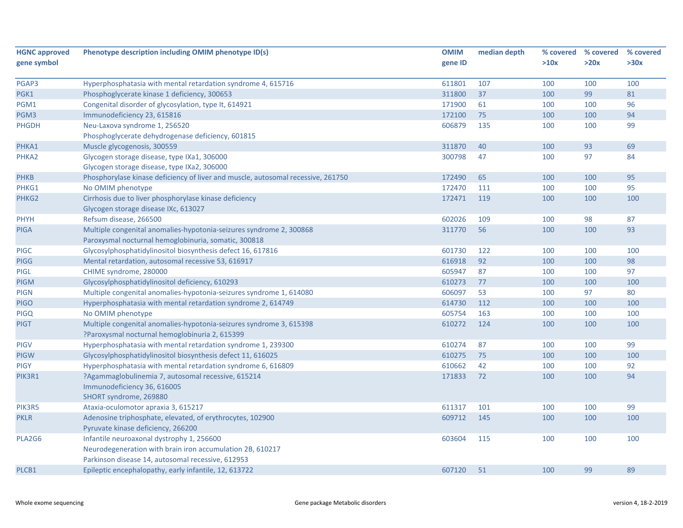| <b>HGNC approved</b> | Phenotype description including OMIM phenotype ID(s)                             | <b>OMIM</b> | median depth | % covered | % covered | % covered |
|----------------------|----------------------------------------------------------------------------------|-------------|--------------|-----------|-----------|-----------|
| gene symbol          |                                                                                  | gene ID     |              | >10x      | >20x      | >30x      |
|                      |                                                                                  |             |              |           |           |           |
| PGAP3                | Hyperphosphatasia with mental retardation syndrome 4, 615716                     | 611801      | 107          | 100       | 100       | 100       |
| PGK1                 | Phosphoglycerate kinase 1 deficiency, 300653                                     | 311800      | 37           | 100       | 99        | 81        |
| PGM1                 | Congenital disorder of glycosylation, type It, 614921                            | 171900      | 61           | 100       | 100       | 96        |
| PGM3                 | Immunodeficiency 23, 615816                                                      | 172100      | 75           | 100       | 100       | 94        |
| <b>PHGDH</b>         | Neu-Laxova syndrome 1, 256520                                                    | 606879      | 135          | 100       | 100       | 99        |
|                      | Phosphoglycerate dehydrogenase deficiency, 601815                                |             |              |           |           |           |
| PHKA1                | Muscle glycogenosis, 300559                                                      | 311870      | 40           | 100       | 93        | 69        |
| PHKA2                | Glycogen storage disease, type IXa1, 306000                                      | 300798      | 47           | 100       | 97        | 84        |
|                      | Glycogen storage disease, type IXa2, 306000                                      |             |              |           |           |           |
| <b>PHKB</b>          | Phosphorylase kinase deficiency of liver and muscle, autosomal recessive, 261750 | 172490      | 65           | 100       | 100       | 95        |
| PHKG1                | No OMIM phenotype                                                                | 172470      | 111          | 100       | 100       | 95        |
| PHKG2                | Cirrhosis due to liver phosphorylase kinase deficiency                           | 172471      | 119          | 100       | 100       | 100       |
|                      | Glycogen storage disease IXc, 613027                                             |             |              |           |           |           |
| PHYH                 | Refsum disease, 266500                                                           | 602026      | 109          | 100       | 98        | 87        |
| <b>PIGA</b>          | Multiple congenital anomalies-hypotonia-seizures syndrome 2, 300868              | 311770      | 56           | 100       | 100       | 93        |
|                      | Paroxysmal nocturnal hemoglobinuria, somatic, 300818                             |             |              |           |           |           |
| <b>PIGC</b>          | Glycosylphosphatidylinositol biosynthesis defect 16, 617816                      | 601730      | 122          | 100       | 100       | 100       |
| <b>PIGG</b>          | Mental retardation, autosomal recessive 53, 616917                               | 616918      | 92           | 100       | 100       | 98        |
| <b>PIGL</b>          | CHIME syndrome, 280000                                                           | 605947      | 87           | 100       | 100       | 97        |
| <b>PIGM</b>          | Glycosylphosphatidylinositol deficiency, 610293                                  | 610273      | 77           | 100       | 100       | 100       |
| <b>PIGN</b>          | Multiple congenital anomalies-hypotonia-seizures syndrome 1, 614080              | 606097      | 53           | 100       | 97        | 80        |
| <b>PIGO</b>          | Hyperphosphatasia with mental retardation syndrome 2, 614749                     | 614730      | 112          | 100       | 100       | 100       |
| <b>PIGQ</b>          | No OMIM phenotype                                                                | 605754      | 163          | 100       | 100       | 100       |
| <b>PIGT</b>          | Multiple congenital anomalies-hypotonia-seizures syndrome 3, 615398              | 610272      | 124          | 100       | 100       | 100       |
|                      | ?Paroxysmal nocturnal hemoglobinuria 2, 615399                                   |             |              |           |           |           |
| <b>PIGV</b>          | Hyperphosphatasia with mental retardation syndrome 1, 239300                     | 610274      | 87           | 100       | 100       | 99        |
| <b>PIGW</b>          | Glycosylphosphatidylinositol biosynthesis defect 11, 616025                      | 610275      | 75           | 100       | 100       | 100       |
| <b>PIGY</b>          | Hyperphosphatasia with mental retardation syndrome 6, 616809                     | 610662      | 42           | 100       | 100       | 92        |
| PIK3R1               | ?Agammaglobulinemia 7, autosomal recessive, 615214                               | 171833      | 72           | 100       | 100       | 94        |
|                      | Immunodeficiency 36, 616005                                                      |             |              |           |           |           |
|                      | SHORT syndrome, 269880                                                           |             |              |           |           |           |
| PIK3R5               | Ataxia-oculomotor apraxia 3, 615217                                              | 611317      | 101          | 100       | 100       | 99        |
| <b>PKLR</b>          | Adenosine triphosphate, elevated, of erythrocytes, 102900                        | 609712      | 145          | 100       | 100       | 100       |
|                      | Pyruvate kinase deficiency, 266200                                               |             |              |           |           |           |
| PLA2G6               | Infantile neuroaxonal dystrophy 1, 256600                                        | 603604      | 115          | 100       | 100       | 100       |
|                      | Neurodegeneration with brain iron accumulation 2B, 610217                        |             |              |           |           |           |
|                      | Parkinson disease 14, autosomal recessive, 612953                                |             |              |           |           |           |
| PLCB1                | Epileptic encephalopathy, early infantile, 12, 613722                            | 607120      | 51           | 100       | 99        | 89        |
|                      |                                                                                  |             |              |           |           |           |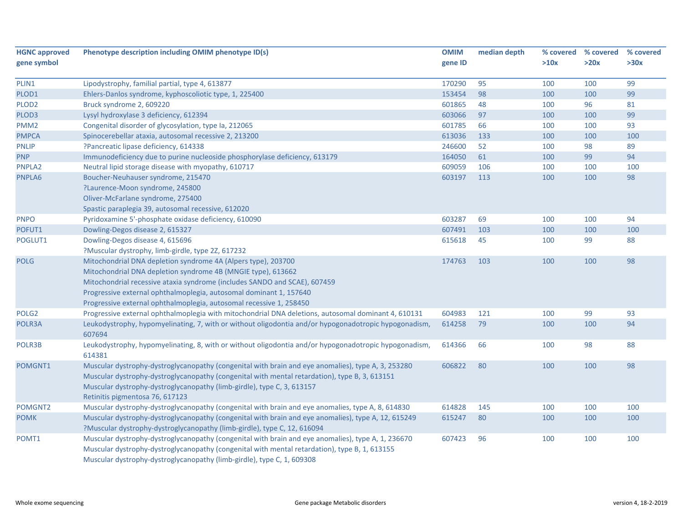| <b>HGNC approved</b> | Phenotype description including OMIM phenotype ID(s)                                                  | <b>OMIM</b> | median depth |      | % covered % covered | % covered |
|----------------------|-------------------------------------------------------------------------------------------------------|-------------|--------------|------|---------------------|-----------|
| gene symbol          |                                                                                                       | gene ID     |              | >10x | >20x                | >30x      |
|                      |                                                                                                       |             |              |      |                     |           |
| PLIN1                | Lipodystrophy, familial partial, type 4, 613877                                                       | 170290      | 95           | 100  | 100                 | 99        |
| PLOD1                | Ehlers-Danlos syndrome, kyphoscoliotic type, 1, 225400                                                | 153454      | 98           | 100  | 100                 | 99        |
| PLOD <sub>2</sub>    | Bruck syndrome 2, 609220                                                                              | 601865      | 48           | 100  | 96                  | 81        |
| PLOD3                | Lysyl hydroxylase 3 deficiency, 612394                                                                | 603066      | 97           | 100  | 100                 | 99        |
| PMM <sub>2</sub>     | Congenital disorder of glycosylation, type Ia, 212065                                                 | 601785      | 66           | 100  | 100                 | 93        |
| <b>PMPCA</b>         | Spinocerebellar ataxia, autosomal recessive 2, 213200                                                 | 613036      | 133          | 100  | 100                 | 100       |
| <b>PNLIP</b>         | ?Pancreatic lipase deficiency, 614338                                                                 | 246600      | 52           | 100  | 98                  | 89        |
| <b>PNP</b>           | Immunodeficiency due to purine nucleoside phosphorylase deficiency, 613179                            | 164050      | 61           | 100  | 99                  | 94        |
| PNPLA2               | Neutral lipid storage disease with myopathy, 610717                                                   | 609059      | 106          | 100  | 100                 | 100       |
| PNPLA6               | Boucher-Neuhauser syndrome, 215470                                                                    | 603197      | 113          | 100  | 100                 | 98        |
|                      | ?Laurence-Moon syndrome, 245800                                                                       |             |              |      |                     |           |
|                      | Oliver-McFarlane syndrome, 275400                                                                     |             |              |      |                     |           |
|                      | Spastic paraplegia 39, autosomal recessive, 612020                                                    |             |              |      |                     |           |
| <b>PNPO</b>          | Pyridoxamine 5'-phosphate oxidase deficiency, 610090                                                  | 603287      | 69           | 100  | 100                 | 94        |
| POFUT1               | Dowling-Degos disease 2, 615327                                                                       | 607491      | 103          | 100  | 100                 | 100       |
| POGLUT1              | Dowling-Degos disease 4, 615696                                                                       | 615618      | 45           | 100  | 99                  | 88        |
|                      | ?Muscular dystrophy, limb-girdle, type 2Z, 617232                                                     |             |              |      |                     |           |
| <b>POLG</b>          | Mitochondrial DNA depletion syndrome 4A (Alpers type), 203700                                         | 174763      | 103          | 100  | 100                 | 98        |
|                      | Mitochondrial DNA depletion syndrome 4B (MNGIE type), 613662                                          |             |              |      |                     |           |
|                      | Mitochondrial recessive ataxia syndrome (includes SANDO and SCAE), 607459                             |             |              |      |                     |           |
|                      | Progressive external ophthalmoplegia, autosomal dominant 1, 157640                                    |             |              |      |                     |           |
|                      | Progressive external ophthalmoplegia, autosomal recessive 1, 258450                                   |             |              |      |                     |           |
| POLG <sub>2</sub>    | Progressive external ophthalmoplegia with mitochondrial DNA deletions, autosomal dominant 4, 610131   | 604983      | 121          | 100  | 99                  | 93        |
| POLR3A               | Leukodystrophy, hypomyelinating, 7, with or without oligodontia and/or hypogonadotropic hypogonadism, | 614258      | 79           | 100  | 100                 | 94        |
|                      | 607694                                                                                                |             |              |      |                     |           |
| POLR3B               | Leukodystrophy, hypomyelinating, 8, with or without oligodontia and/or hypogonadotropic hypogonadism, | 614366      | 66           | 100  | 98                  | 88        |
|                      | 614381                                                                                                |             |              |      |                     |           |
| POMGNT1              | Muscular dystrophy-dystroglycanopathy (congenital with brain and eye anomalies), type A, 3, 253280    | 606822      | 80           | 100  | 100                 | 98        |
|                      | Muscular dystrophy-dystroglycanopathy (congenital with mental retardation), type B, 3, 613151         |             |              |      |                     |           |
|                      | Muscular dystrophy-dystroglycanopathy (limb-girdle), type C, 3, 613157                                |             |              |      |                     |           |
|                      | Retinitis pigmentosa 76, 617123                                                                       |             |              |      |                     |           |
| POMGNT2              | Muscular dystrophy-dystroglycanopathy (congenital with brain and eye anomalies, type A, 8, 614830     | 614828      | 145          | 100  | 100                 | 100       |
| <b>POMK</b>          | Muscular dystrophy-dystroglycanopathy (congenital with brain and eye anomalies), type A, 12, 615249   | 615247      | 80           | 100  | 100                 | 100       |
|                      | ?Muscular dystrophy-dystroglycanopathy (limb-girdle), type C, 12, 616094                              |             |              |      |                     |           |
| POMT1                | Muscular dystrophy-dystroglycanopathy (congenital with brain and eye anomalies), type A, 1, 236670    | 607423      | 96           | 100  | 100                 | 100       |
|                      | Muscular dystrophy-dystroglycanopathy (congenital with mental retardation), type B, 1, 613155         |             |              |      |                     |           |
|                      |                                                                                                       |             |              |      |                     |           |
|                      | Muscular dystrophy-dystroglycanopathy (limb-girdle), type C, 1, 609308                                |             |              |      |                     |           |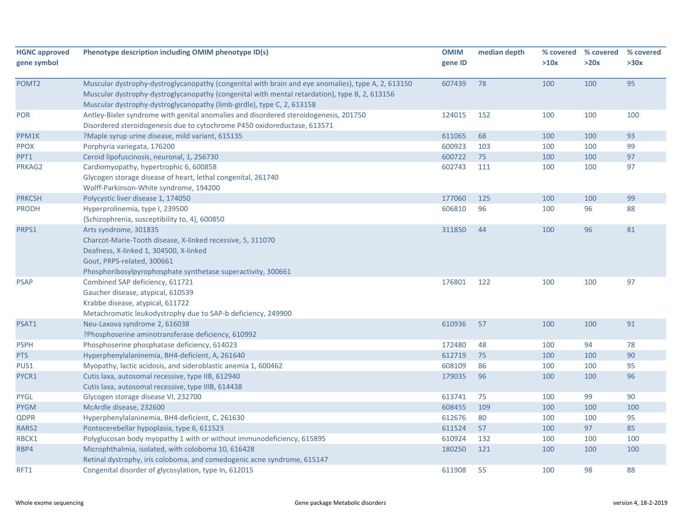| <b>HGNC approved</b> | Phenotype description including OMIM phenotype ID(s)                                               | <b>OMIM</b> | median depth | % covered | % covered | % covered |
|----------------------|----------------------------------------------------------------------------------------------------|-------------|--------------|-----------|-----------|-----------|
| gene symbol          |                                                                                                    | gene ID     |              | >10x      | >20x      | >30x      |
|                      |                                                                                                    |             |              |           |           |           |
| POMT <sub>2</sub>    | Muscular dystrophy-dystroglycanopathy (congenital with brain and eye anomalies), type A, 2, 613150 | 607439      | 78           | 100       | 100       | 95        |
|                      | Muscular dystrophy-dystroglycanopathy (congenital with mental retardation), type B, 2, 613156      |             |              |           |           |           |
|                      | Muscular dystrophy-dystroglycanopathy (limb-girdle), type C, 2, 613158                             |             |              |           |           |           |
| POR                  | Antley-Bixler syndrome with genital anomalies and disordered steroidogenesis, 201750               | 124015      | 152          | 100       | 100       | 100       |
|                      | Disordered steroidogenesis due to cytochrome P450 oxidoreductase, 613571                           |             |              |           |           |           |
| PPM1K                | ?Maple syrup urine disease, mild variant, 615135                                                   | 611065      | 68           | 100       | 100       | 93        |
| <b>PPOX</b>          | Porphyria variegata, 176200                                                                        | 600923      | 103          | 100       | 100       | 99        |
| PPT1                 | Ceroid lipofuscinosis, neuronal, 1, 256730                                                         | 600722      | 75           | 100       | 100       | 97        |
| PRKAG2               | Cardiomyopathy, hypertrophic 6, 600858                                                             | 602743      | 111          | 100       | 100       | 97        |
|                      | Glycogen storage disease of heart, lethal congenital, 261740                                       |             |              |           |           |           |
|                      | Wolff-Parkinson-White syndrome, 194200                                                             |             |              |           |           |           |
| <b>PRKCSH</b>        | Polycystic liver disease 1, 174050                                                                 | 177060      | 125          | 100       | 100       | 99        |
| <b>PRODH</b>         | Hyperprolinemia, type I, 239500                                                                    | 606810      | 96           | 100       | 96        | 88        |
|                      | {Schizophrenia, susceptibility to, 4}, 600850                                                      |             |              |           |           |           |
| PRPS1                | Arts syndrome, 301835                                                                              | 311850      | 44           | 100       | 96        | 81        |
|                      | Charcot-Marie-Tooth disease, X-linked recessive, 5, 311070                                         |             |              |           |           |           |
|                      | Deafness, X-linked 1, 304500, X-linked                                                             |             |              |           |           |           |
|                      | Gout, PRPS-related, 300661                                                                         |             |              |           |           |           |
|                      | Phosphoribosylpyrophosphate synthetase superactivity, 300661                                       |             |              |           |           |           |
| <b>PSAP</b>          | Combined SAP deficiency, 611721                                                                    | 176801      | 122          | 100       | 100       | 97        |
|                      | Gaucher disease, atypical, 610539                                                                  |             |              |           |           |           |
|                      | Krabbe disease, atypical, 611722                                                                   |             |              |           |           |           |
|                      | Metachromatic leukodystrophy due to SAP-b deficiency, 249900                                       |             |              |           |           |           |
| PSAT1                | Neu-Laxova syndrome 2, 616038                                                                      | 610936      | 57           | 100       | 100       | 91        |
|                      | ?Phosphoserine aminotransferase deficiency, 610992                                                 |             |              |           |           |           |
| <b>PSPH</b>          | Phosphoserine phosphatase deficiency, 614023                                                       | 172480      | 48           | 100       | 94        | 78        |
| PTS                  | Hyperphenylalaninemia, BH4-deficient, A, 261640                                                    | 612719      | 75           | 100       | 100       | 90        |
| PUS1                 | Myopathy, lactic acidosis, and sideroblastic anemia 1, 600462                                      | 608109      | 86           | 100       | 100       | 95        |
| PYCR1                | Cutis laxa, autosomal recessive, type IIB, 612940                                                  | 179035      | 96           | 100       | 100       | 96        |
|                      | Cutis laxa, autosomal recessive, type IIIB, 614438                                                 |             |              |           |           |           |
| <b>PYGL</b>          | Glycogen storage disease VI, 232700                                                                | 613741      | 75           | 100       | 99        | 90        |
| <b>PYGM</b>          | McArdle disease, 232600                                                                            | 608455      | 109          | 100       | 100       | 100       |
| <b>QDPR</b>          | Hyperphenylalaninemia, BH4-deficient, C, 261630                                                    | 612676      | 80           | 100       | 100       | 95        |
| RARS2                | Pontocerebellar hypoplasia, type 6, 611523                                                         | 611524      | 57           | 100       | 97        | 85        |
| RBCK1                | Polyglucosan body myopathy 1 with or without immunodeficiency, 615895                              | 610924      | 132          | 100       | 100       | 100       |
| RBP4                 | Microphthalmia, isolated, with coloboma 10, 616428                                                 | 180250      | 121          | 100       | 100       | 100       |
|                      | Retinal dystrophy, iris coloboma, and comedogenic acne syndrome, 615147                            |             |              |           |           |           |
| RFT1                 | Congenital disorder of glycosylation, type In, 612015                                              | 611908      | 55           | 100       | 98        | 88        |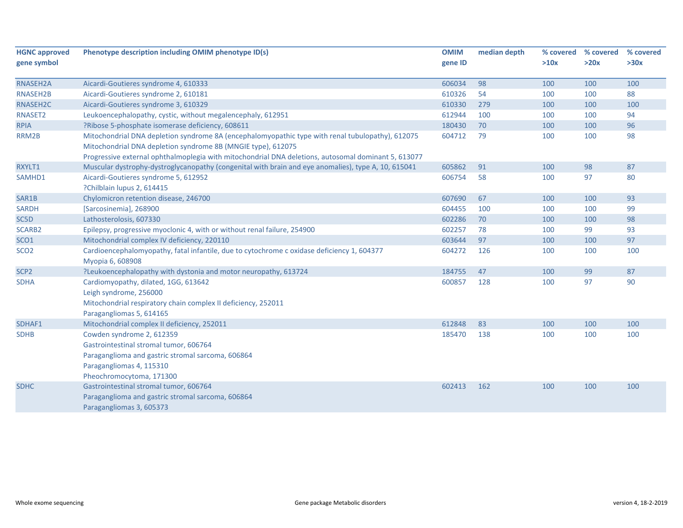| <b>HGNC approved</b> | Phenotype description including OMIM phenotype ID(s)                                                | <b>OMIM</b> | median depth | % covered | % covered | % covered |
|----------------------|-----------------------------------------------------------------------------------------------------|-------------|--------------|-----------|-----------|-----------|
| gene symbol          |                                                                                                     | gene ID     |              | >10x      | >20x      | >30x      |
| RNASEH2A             | Aicardi-Goutieres syndrome 4, 610333                                                                | 606034      | 98           | 100       | 100       | 100       |
| RNASEH2B             | Aicardi-Goutieres syndrome 2, 610181                                                                | 610326      | 54           | 100       | 100       | 88        |
| RNASEH2C             | Aicardi-Goutieres syndrome 3, 610329                                                                | 610330      | 279          | 100       | 100       | 100       |
| RNASET2              | Leukoencephalopathy, cystic, without megalencephaly, 612951                                         | 612944      | 100          | 100       | 100       | 94        |
| <b>RPIA</b>          | ?Ribose 5-phosphate isomerase deficiency, 608611                                                    | 180430      | 70           | 100       | 100       | 96        |
| RRM2B                | Mitochondrial DNA depletion syndrome 8A (encephalomyopathic type with renal tubulopathy), 612075    | 604712      | 79           | 100       | 100       | 98        |
|                      | Mitochondrial DNA depletion syndrome 8B (MNGIE type), 612075                                        |             |              |           |           |           |
|                      | Progressive external ophthalmoplegia with mitochondrial DNA deletions, autosomal dominant 5, 613077 |             |              |           |           |           |
| RXYLT1               | Muscular dystrophy-dystroglycanopathy (congenital with brain and eye anomalies), type A, 10, 615041 | 605862      | 91           | 100       | 98        | 87        |
| SAMHD1               | Aicardi-Goutieres syndrome 5, 612952                                                                | 606754      | 58           | 100       | 97        | 80        |
|                      | ?Chilblain lupus 2, 614415                                                                          |             |              |           |           |           |
| SAR1B                | Chylomicron retention disease, 246700                                                               | 607690      | 67           | 100       | 100       | 93        |
| <b>SARDH</b>         | [Sarcosinemia], 268900                                                                              | 604455      | 100          | 100       | 100       | 99        |
| SC5D                 | Lathosterolosis, 607330                                                                             | 602286      | 70           | 100       | 100       | 98        |
| SCARB2               | Epilepsy, progressive myoclonic 4, with or without renal failure, 254900                            | 602257      | 78           | 100       | 99        | 93        |
| SCO <sub>1</sub>     | Mitochondrial complex IV deficiency, 220110                                                         | 603644      | 97           | 100       | 100       | 97        |
| SCO <sub>2</sub>     | Cardioencephalomyopathy, fatal infantile, due to cytochrome c oxidase deficiency 1, 604377          | 604272      | 126          | 100       | 100       | 100       |
|                      | Myopia 6, 608908                                                                                    |             |              |           |           |           |
| SCP <sub>2</sub>     | ?Leukoencephalopathy with dystonia and motor neuropathy, 613724                                     | 184755      | 47           | 100       | 99        | 87        |
| <b>SDHA</b>          | Cardiomyopathy, dilated, 1GG, 613642                                                                | 600857      | 128          | 100       | 97        | 90        |
|                      | Leigh syndrome, 256000                                                                              |             |              |           |           |           |
|                      | Mitochondrial respiratory chain complex II deficiency, 252011                                       |             |              |           |           |           |
|                      | Paragangliomas 5, 614165                                                                            |             |              |           |           |           |
| SDHAF1               | Mitochondrial complex II deficiency, 252011                                                         | 612848      | 83           | 100       | 100       | 100       |
| <b>SDHB</b>          | Cowden syndrome 2, 612359                                                                           | 185470      | 138          | 100       | 100       | 100       |
|                      | Gastrointestinal stromal tumor, 606764                                                              |             |              |           |           |           |
|                      | Paraganglioma and gastric stromal sarcoma, 606864                                                   |             |              |           |           |           |
|                      | Paragangliomas 4, 115310                                                                            |             |              |           |           |           |
|                      | Pheochromocytoma, 171300                                                                            |             |              |           |           |           |
| <b>SDHC</b>          | Gastrointestinal stromal tumor, 606764                                                              | 602413      | 162          | 100       | 100       | 100       |
|                      | Paraganglioma and gastric stromal sarcoma, 606864                                                   |             |              |           |           |           |
|                      | Paragangliomas 3, 605373                                                                            |             |              |           |           |           |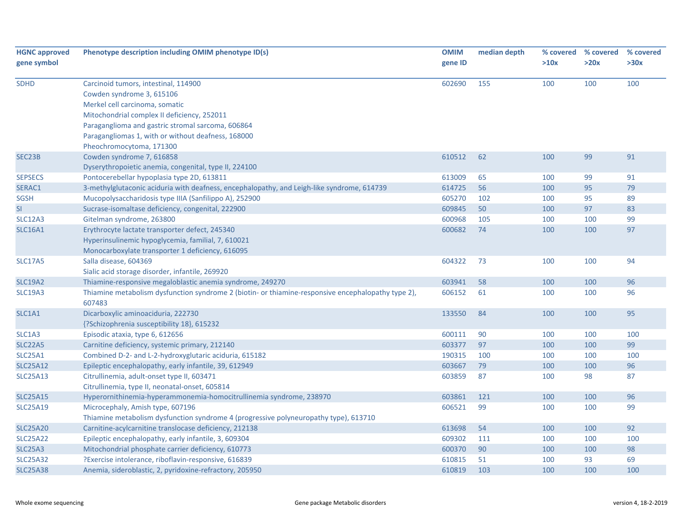| <b>HGNC approved</b><br>gene symbol | Phenotype description including OMIM phenotype ID(s)                                               | <b>OMIM</b><br>gene ID | median depth | % covered<br>>10x | % covered<br>>20x | % covered<br>>30x |
|-------------------------------------|----------------------------------------------------------------------------------------------------|------------------------|--------------|-------------------|-------------------|-------------------|
| <b>SDHD</b>                         | Carcinoid tumors, intestinal, 114900                                                               | 602690                 | 155          | 100               | 100               | 100               |
|                                     | Cowden syndrome 3, 615106                                                                          |                        |              |                   |                   |                   |
|                                     | Merkel cell carcinoma, somatic                                                                     |                        |              |                   |                   |                   |
|                                     | Mitochondrial complex II deficiency, 252011                                                        |                        |              |                   |                   |                   |
|                                     | Paraganglioma and gastric stromal sarcoma, 606864                                                  |                        |              |                   |                   |                   |
|                                     | Paragangliomas 1, with or without deafness, 168000                                                 |                        |              |                   |                   |                   |
|                                     | Pheochromocytoma, 171300                                                                           |                        |              |                   |                   |                   |
| SEC23B                              | Cowden syndrome 7, 616858                                                                          | 610512                 | 62           | 100               | 99                | 91                |
|                                     | Dyserythropoietic anemia, congenital, type II, 224100                                              |                        |              |                   | 99                | 91                |
| <b>SEPSECS</b>                      | Pontocerebellar hypoplasia type 2D, 613811                                                         | 613009                 | 65           | 100               |                   |                   |
| SERAC1                              | 3-methylglutaconic aciduria with deafness, encephalopathy, and Leigh-like syndrome, 614739         | 614725                 | 56           | 100               | 95                | 79                |
| <b>SGSH</b>                         | Mucopolysaccharidosis type IIIA (Sanfilippo A), 252900                                             | 605270                 | 102          | 100               | 95                | 89                |
| SI                                  | Sucrase-isomaltase deficiency, congenital, 222900                                                  | 609845                 | 50           | 100               | 97                | 83                |
| <b>SLC12A3</b>                      | Gitelman syndrome, 263800<br>Erythrocyte lactate transporter defect, 245340                        | 600968<br>600682       | 105<br>74    | 100<br>100        | 100<br>100        | 99<br>97          |
| <b>SLC16A1</b>                      | Hyperinsulinemic hypoglycemia, familial, 7, 610021                                                 |                        |              |                   |                   |                   |
|                                     |                                                                                                    |                        |              |                   |                   |                   |
|                                     | Monocarboxylate transporter 1 deficiency, 616095                                                   | 604322                 | 73           |                   | 100               | 94                |
| <b>SLC17A5</b>                      | Salla disease, 604369<br>Sialic acid storage disorder, infantile, 269920                           |                        |              | 100               |                   |                   |
| <b>SLC19A2</b>                      | Thiamine-responsive megaloblastic anemia syndrome, 249270                                          | 603941                 | 58           | 100               | 100               | 96                |
| <b>SLC19A3</b>                      | Thiamine metabolism dysfunction syndrome 2 (biotin- or thiamine-responsive encephalopathy type 2), | 606152                 | 61           | 100               | 100               | 96                |
|                                     | 607483                                                                                             |                        |              |                   |                   |                   |
| SLC1A1                              | Dicarboxylic aminoaciduria, 222730                                                                 | 133550                 | 84           | 100               | 100               | 95                |
|                                     | {?Schizophrenia susceptibility 18}, 615232                                                         |                        |              |                   |                   |                   |
| SLC1A3                              | Episodic ataxia, type 6, 612656                                                                    | 600111                 | 90           | 100               | 100               | 100               |
| <b>SLC22A5</b>                      | Carnitine deficiency, systemic primary, 212140                                                     | 603377                 | 97           | 100               | 100               | 99                |
| SLC25A1                             | Combined D-2- and L-2-hydroxyglutaric aciduria, 615182                                             | 190315                 | 100          | 100               | 100               | 100               |
| <b>SLC25A12</b>                     | Epileptic encephalopathy, early infantile, 39, 612949                                              | 603667                 | 79           | 100               | 100               | 96                |
| <b>SLC25A13</b>                     | Citrullinemia, adult-onset type II, 603471                                                         | 603859                 | 87           | 100               | 98                | 87                |
|                                     | Citrullinemia, type II, neonatal-onset, 605814                                                     |                        |              |                   |                   |                   |
| <b>SLC25A15</b>                     | Hyperornithinemia-hyperammonemia-homocitrullinemia syndrome, 238970                                | 603861                 | 121          | 100               | 100               | 96                |
| <b>SLC25A19</b>                     | Microcephaly, Amish type, 607196                                                                   | 606521                 | 99           | 100               | 100               | 99                |
|                                     | Thiamine metabolism dysfunction syndrome 4 (progressive polyneuropathy type), 613710               |                        |              |                   |                   |                   |
| <b>SLC25A20</b>                     | Carnitine-acylcarnitine translocase deficiency, 212138                                             | 613698                 | 54           | 100               | 100               | 92                |
| <b>SLC25A22</b>                     | Epileptic encephalopathy, early infantile, 3, 609304                                               | 609302                 | 111          | 100               | 100               | 100               |
| <b>SLC25A3</b>                      | Mitochondrial phosphate carrier deficiency, 610773                                                 | 600370                 | 90           | 100               | 100               | 98                |
| <b>SLC25A32</b>                     | ?Exercise intolerance, riboflavin-responsive, 616839                                               | 610815                 | 51           | 100               | 93                | 69                |
| <b>SLC25A38</b>                     | Anemia, sideroblastic, 2, pyridoxine-refractory, 205950                                            | 610819                 | 103          | 100               | 100               | 100               |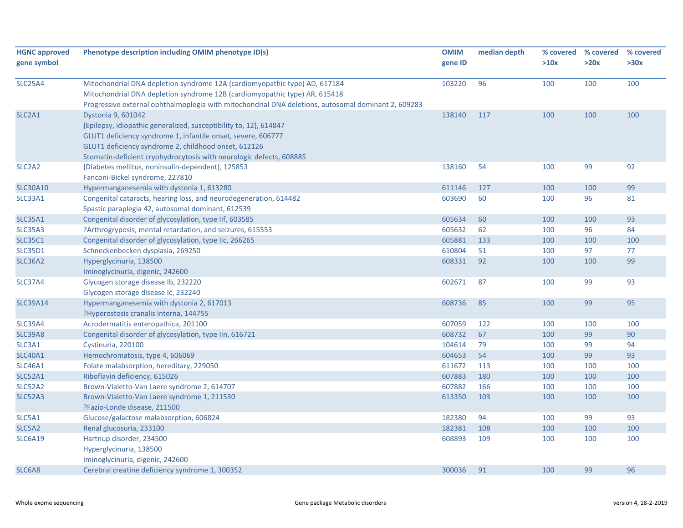| <b>HGNC approved</b><br>gene symbol | Phenotype description including OMIM phenotype ID(s)                                                                                                                                                                                                                                   | <b>OMIM</b><br>gene ID | median depth | % covered<br>>10x | % covered<br>>20x | % covered<br>>30x |
|-------------------------------------|----------------------------------------------------------------------------------------------------------------------------------------------------------------------------------------------------------------------------------------------------------------------------------------|------------------------|--------------|-------------------|-------------------|-------------------|
| <b>SLC25A4</b>                      | Mitochondrial DNA depletion syndrome 12A (cardiomyopathic type) AD, 617184<br>Mitochondrial DNA depletion syndrome 12B (cardiomyopathic type) AR, 615418<br>Progressive external ophthalmoplegia with mitochondrial DNA deletions, autosomal dominant 2, 609283                        | 103220                 | 96           | 100               | 100               | 100               |
| SLC <sub>2</sub> A <sub>1</sub>     | Dystonia 9, 601042<br>{Epilepsy, idiopathic generalized, susceptibility to, 12}, 614847<br>GLUT1 deficiency syndrome 1, infantile onset, severe, 606777<br>GLUT1 deficiency syndrome 2, childhood onset, 612126<br>Stomatin-deficient cryohydrocytosis with neurologic defects, 608885 | 138140                 | 117          | 100               | 100               | 100               |
| SLC <sub>2</sub> A <sub>2</sub>     | {Diabetes mellitus, noninsulin-dependent}, 125853<br>Fanconi-Bickel syndrome, 227810                                                                                                                                                                                                   | 138160                 | 54           | 100               | 99                | 92                |
| <b>SLC30A10</b>                     | Hypermanganesemia with dystonia 1, 613280                                                                                                                                                                                                                                              | 611146                 | 127          | 100               | 100               | 99                |
| SLC33A1                             | Congenital cataracts, hearing loss, and neurodegeneration, 614482<br>Spastic paraplegia 42, autosomal dominant, 612539                                                                                                                                                                 | 603690                 | 60           | 100               | 96                | 81                |
| <b>SLC35A1</b>                      | Congenital disorder of glycosylation, type IIf, 603585                                                                                                                                                                                                                                 | 605634                 | 60           | 100               | 100               | 93                |
| <b>SLC35A3</b>                      | ?Arthrogryposis, mental retardation, and seizures, 615553                                                                                                                                                                                                                              | 605632                 | 62           | 100               | 96                | 84                |
| <b>SLC35C1</b>                      | Congenital disorder of glycosylation, type IIc, 266265                                                                                                                                                                                                                                 | 605881                 | 133          | 100               | 100               | 100               |
| <b>SLC35D1</b>                      | Schneckenbecken dysplasia, 269250                                                                                                                                                                                                                                                      | 610804                 | 51           | 100               | 97                | 77                |
| <b>SLC36A2</b>                      | Hyperglycinuria, 138500<br>Iminoglycinuria, digenic, 242600                                                                                                                                                                                                                            | 608331                 | 92           | 100               | 100               | 99                |
| <b>SLC37A4</b>                      | Glycogen storage disease Ib, 232220<br>Glycogen storage disease Ic, 232240                                                                                                                                                                                                             | 602671                 | 87           | 100               | 99                | 93                |
| <b>SLC39A14</b>                     | Hypermanganesemia with dystonia 2, 617013<br>?Hyperostosis cranalis interna, 144755                                                                                                                                                                                                    | 608736                 | 85           | 100               | 99                | 95                |
| <b>SLC39A4</b>                      | Acrodermatitis enteropathica, 201100                                                                                                                                                                                                                                                   | 607059                 | 122          | 100               | 100               | 100               |
| <b>SLC39A8</b>                      | Congenital disorder of glycosylation, type IIn, 616721                                                                                                                                                                                                                                 | 608732                 | 67           | 100               | 99                | 90                |
| SLC3A1                              | Cystinuria, 220100                                                                                                                                                                                                                                                                     | 104614                 | 79           | 100               | 99                | 94                |
| <b>SLC40A1</b>                      | Hemochromatosis, type 4, 606069                                                                                                                                                                                                                                                        | 604653                 | 54           | 100               | 99                | 93                |
| <b>SLC46A1</b>                      | Folate malabsorption, hereditary, 229050                                                                                                                                                                                                                                               | 611672                 | 113          | 100               | 100               | 100               |
| <b>SLC52A1</b>                      | Riboflavin deficiency, 615026                                                                                                                                                                                                                                                          | 607883                 | 180          | 100               | 100               | 100               |
| SLC52A2                             | Brown-Vialetto-Van Laere syndrome 2, 614707                                                                                                                                                                                                                                            | 607882                 | 166          | 100               | 100               | 100               |
| <b>SLC52A3</b>                      | Brown-Vialetto-Van Laere syndrome 1, 211530<br>?Fazio-Londe disease, 211500                                                                                                                                                                                                            | 613350                 | 103          | 100               | 100               | 100               |
| SLC5A1                              | Glucose/galactose malabsorption, 606824                                                                                                                                                                                                                                                | 182380                 | 94           | 100               | 99                | 93                |
| SLC5A2                              | Renal glucosuria, 233100                                                                                                                                                                                                                                                               | 182381                 | 108          | 100               | 100               | 100               |
| <b>SLC6A19</b>                      | Hartnup disorder, 234500<br>Hyperglycinuria, 138500                                                                                                                                                                                                                                    | 608893                 | 109          | 100               | 100               | 100               |
|                                     | Iminoglycinuria, digenic, 242600                                                                                                                                                                                                                                                       |                        |              |                   |                   |                   |
| SLC6A8                              | Cerebral creatine deficiency syndrome 1, 300352                                                                                                                                                                                                                                        | 300036                 | 91           | 100               | 99                | 96                |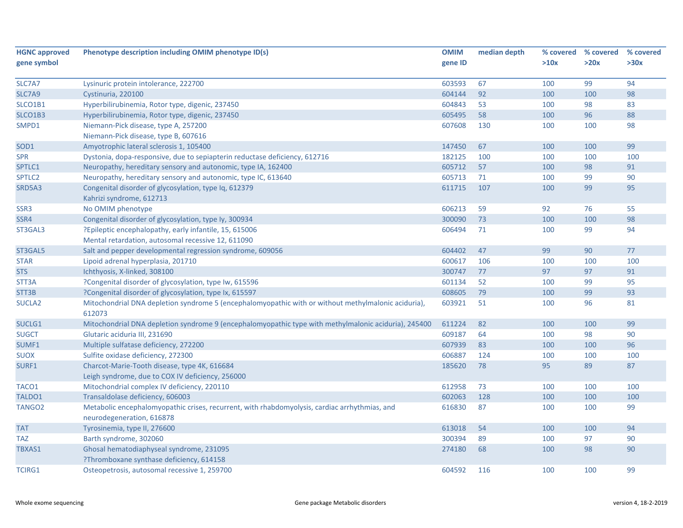| <b>HGNC approved</b> | Phenotype description including OMIM phenotype ID(s)                                                 | <b>OMIM</b> | median depth | % covered | % covered | % covered |
|----------------------|------------------------------------------------------------------------------------------------------|-------------|--------------|-----------|-----------|-----------|
| gene symbol          |                                                                                                      | gene ID     |              | >10x      | >20x      | >30x      |
|                      |                                                                                                      |             |              |           |           |           |
| SLC7A7               | Lysinuric protein intolerance, 222700                                                                | 603593      | 67           | 100       | 99        | 94        |
| SLC7A9               | Cystinuria, 220100                                                                                   | 604144      | 92           | 100       | 100       | 98        |
| SLCO1B1              | Hyperbilirubinemia, Rotor type, digenic, 237450                                                      | 604843      | 53           | 100       | 98        | 83        |
| SLCO1B3              | Hyperbilirubinemia, Rotor type, digenic, 237450                                                      | 605495      | 58           | 100       | 96        | 88        |
| SMPD1                | Niemann-Pick disease, type A, 257200                                                                 | 607608      | 130          | 100       | 100       | 98        |
|                      | Niemann-Pick disease, type B, 607616                                                                 |             |              |           |           |           |
| SOD <sub>1</sub>     | Amyotrophic lateral sclerosis 1, 105400                                                              | 147450      | 67           | 100       | 100       | 99        |
| <b>SPR</b>           | Dystonia, dopa-responsive, due to sepiapterin reductase deficiency, 612716                           | 182125      | 100          | 100       | 100       | 100       |
| SPTLC1               | Neuropathy, hereditary sensory and autonomic, type IA, 162400                                        | 605712      | 57           | 100       | 98        | 91        |
| SPTLC <sub>2</sub>   | Neuropathy, hereditary sensory and autonomic, type IC, 613640                                        | 605713      | 71           | 100       | 99        | 90        |
| SRD5A3               | Congenital disorder of glycosylation, type Iq, 612379                                                | 611715      | 107          | 100       | 99        | 95        |
|                      | Kahrizi syndrome, 612713                                                                             |             |              |           |           |           |
| SSR3                 | No OMIM phenotype                                                                                    | 606213      | 59           | 92        | 76        | 55        |
| SSR4                 | Congenital disorder of glycosylation, type Iy, 300934                                                | 300090      | 73           | 100       | 100       | 98        |
| ST3GAL3              | ?Epileptic encephalopathy, early infantile, 15, 615006                                               | 606494      | 71           | 100       | 99        | 94        |
|                      | Mental retardation, autosomal recessive 12, 611090                                                   |             |              |           |           |           |
| ST3GAL5              | Salt and pepper developmental regression syndrome, 609056                                            | 604402      | 47           | 99        | 90        | 77        |
| <b>STAR</b>          | Lipoid adrenal hyperplasia, 201710                                                                   | 600617      | 106          | 100       | 100       | 100       |
| <b>STS</b>           | Ichthyosis, X-linked, 308100                                                                         | 300747      | 77           | 97        | 97        | 91        |
| STT3A                | ?Congenital disorder of glycosylation, type Iw, 615596                                               | 601134      | 52           | 100       | 99        | 95        |
| STT3B                | ?Congenital disorder of glycosylation, type Ix, 615597                                               | 608605      | 79           | 100       | 99        | 93        |
| <b>SUCLA2</b>        | Mitochondrial DNA depletion syndrome 5 (encephalomyopathic with or without methylmalonic aciduria),  | 603921      | 51           | 100       | 96        | 81        |
|                      | 612073                                                                                               |             |              |           |           |           |
| SUCLG1               | Mitochondrial DNA depletion syndrome 9 (encephalomyopathic type with methylmalonic aciduria), 245400 | 611224      | 82           | 100       | 100       | 99        |
| <b>SUGCT</b>         | Glutaric aciduria III, 231690                                                                        | 609187      | 64           | 100       | 98        | 90        |
| SUMF1                | Multiple sulfatase deficiency, 272200                                                                | 607939      | 83           | 100       | 100       | 96        |
| <b>SUOX</b>          | Sulfite oxidase deficiency, 272300                                                                   | 606887      | 124          | 100       | 100       | 100       |
| SURF1                | Charcot-Marie-Tooth disease, type 4K, 616684                                                         | 185620      | 78           | 95        | 89        | 87        |
|                      | Leigh syndrome, due to COX IV deficiency, 256000                                                     |             |              |           |           |           |
| TACO1                | Mitochondrial complex IV deficiency, 220110                                                          | 612958      | 73           | 100       | 100       | 100       |
| TALDO1               | Transaldolase deficiency, 606003                                                                     | 602063      | 128          | 100       | 100       | 100       |
| TANGO <sub>2</sub>   | Metabolic encephalomyopathic crises, recurrent, with rhabdomyolysis, cardiac arrhythmias, and        | 616830      | 87           | 100       | 100       | 99        |
|                      | neurodegeneration, 616878                                                                            |             |              |           |           |           |
| <b>TAT</b>           | Tyrosinemia, type II, 276600                                                                         | 613018      | 54           | 100       | 100       | 94        |
| <b>TAZ</b>           | Barth syndrome, 302060                                                                               | 300394      | 89           | 100       | 97        | 90        |
| TBXAS1               | Ghosal hematodiaphyseal syndrome, 231095                                                             | 274180      | 68           | 100       | 98        | 90        |
|                      | ?Thromboxane synthase deficiency, 614158                                                             |             |              |           |           |           |
| TCIRG1               | Osteopetrosis, autosomal recessive 1, 259700                                                         | 604592      | 116          | 100       | 100       | 99        |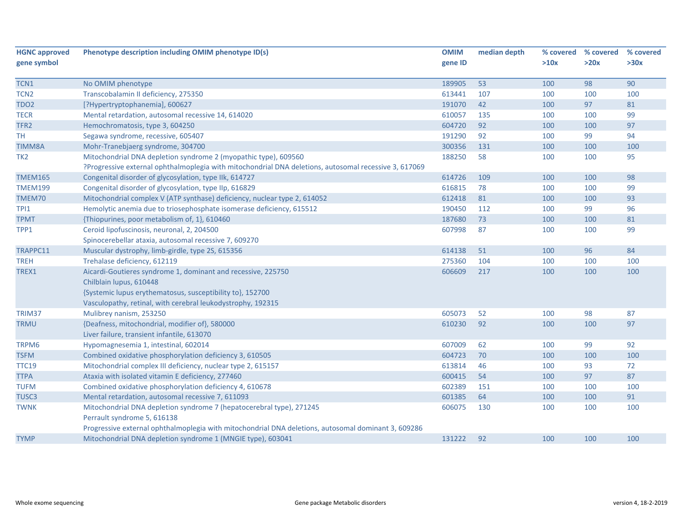| <b>HGNC approved</b> | Phenotype description including OMIM phenotype ID(s)                                                  | <b>OMIM</b> | median depth | % covered | % covered | % covered |
|----------------------|-------------------------------------------------------------------------------------------------------|-------------|--------------|-----------|-----------|-----------|
| gene symbol          |                                                                                                       | gene ID     |              | >10x      | >20x      | >30x      |
|                      |                                                                                                       |             |              |           |           |           |
| TCN1                 | No OMIM phenotype                                                                                     | 189905      | 53           | 100       | 98        | 90        |
| TCN2                 | Transcobalamin II deficiency, 275350                                                                  | 613441      | 107          | 100       | 100       | 100       |
| <b>TDO2</b>          | [?Hypertryptophanemia], 600627                                                                        | 191070      | 42           | 100       | 97        | 81        |
| <b>TECR</b>          | Mental retardation, autosomal recessive 14, 614020                                                    | 610057      | 135          | 100       | 100       | 99        |
| TFR <sub>2</sub>     | Hemochromatosis, type 3, 604250                                                                       | 604720      | 92           | 100       | 100       | 97        |
| <b>TH</b>            | Segawa syndrome, recessive, 605407                                                                    | 191290      | 92           | 100       | 99        | 94        |
| <b>TIMM8A</b>        | Mohr-Tranebjaerg syndrome, 304700                                                                     | 300356      | 131          | 100       | 100       | 100       |
| TK <sub>2</sub>      | Mitochondrial DNA depletion syndrome 2 (myopathic type), 609560                                       | 188250      | 58           | 100       | 100       | 95        |
|                      | ?Progressive external ophthalmoplegia with mitochondrial DNA deletions, autosomal recessive 3, 617069 |             |              |           |           |           |
| <b>TMEM165</b>       | Congenital disorder of glycosylation, type IIk, 614727                                                | 614726      | 109          | 100       | 100       | 98        |
| <b>TMEM199</b>       | Congenital disorder of glycosylation, type IIp, 616829                                                | 616815      | 78           | 100       | 100       | 99        |
| TMEM70               | Mitochondrial complex V (ATP synthase) deficiency, nuclear type 2, 614052                             | 612418      | 81           | 100       | 100       | 93        |
| TPI1                 | Hemolytic anemia due to triosephosphate isomerase deficiency, 615512                                  | 190450      | 112          | 100       | 99        | 96        |
| <b>TPMT</b>          | {Thiopurines, poor metabolism of, 1}, 610460                                                          | 187680      | 73           | 100       | 100       | 81        |
| TPP1                 | Ceroid lipofuscinosis, neuronal, 2, 204500                                                            | 607998      | 87           | 100       | 100       | 99        |
|                      | Spinocerebellar ataxia, autosomal recessive 7, 609270                                                 |             |              |           |           |           |
| TRAPPC11             | Muscular dystrophy, limb-girdle, type 2S, 615356                                                      | 614138      | 51           | 100       | 96        | 84        |
| <b>TREH</b>          | Trehalase deficiency, 612119                                                                          | 275360      | 104          | 100       | 100       | 100       |
| TREX1                | Aicardi-Goutieres syndrome 1, dominant and recessive, 225750                                          | 606609      | 217          | 100       | 100       | 100       |
|                      | Chilblain lupus, 610448                                                                               |             |              |           |           |           |
|                      | {Systemic lupus erythematosus, susceptibility to}, 152700                                             |             |              |           |           |           |
|                      | Vasculopathy, retinal, with cerebral leukodystrophy, 192315                                           |             |              |           |           |           |
| TRIM37               | Mulibrey nanism, 253250                                                                               | 605073      | 52           | 100       | 98        | 87        |
| <b>TRMU</b>          | {Deafness, mitochondrial, modifier of}, 580000                                                        | 610230      | 92           | 100       | 100       | 97        |
|                      | Liver failure, transient infantile, 613070                                                            |             |              |           |           |           |
| TRPM6                | Hypomagnesemia 1, intestinal, 602014                                                                  | 607009      | 62           | 100       | 99        | 92        |
| <b>TSFM</b>          | Combined oxidative phosphorylation deficiency 3, 610505                                               | 604723      | 70           | 100       | 100       | 100       |
| <b>TTC19</b>         | Mitochondrial complex III deficiency, nuclear type 2, 615157                                          | 613814      | 46           | 100       | 93        | 72        |
| <b>TTPA</b>          | Ataxia with isolated vitamin E deficiency, 277460                                                     | 600415      | 54           | 100       | 97        | 87        |
| <b>TUFM</b>          | Combined oxidative phosphorylation deficiency 4, 610678                                               | 602389      | 151          | 100       | 100       | 100       |
| TUSC3                | Mental retardation, autosomal recessive 7, 611093                                                     | 601385      | 64           | 100       | 100       | 91        |
| <b>TWNK</b>          | Mitochondrial DNA depletion syndrome 7 (hepatocerebral type), 271245                                  | 606075      | 130          | 100       | 100       | 100       |
|                      | Perrault syndrome 5, 616138                                                                           |             |              |           |           |           |
|                      | Progressive external ophthalmoplegia with mitochondrial DNA deletions, autosomal dominant 3, 609286   |             |              |           |           |           |
| <b>TYMP</b>          | Mitochondrial DNA depletion syndrome 1 (MNGIE type), 603041                                           | 131222      | 92           | 100       | 100       | 100       |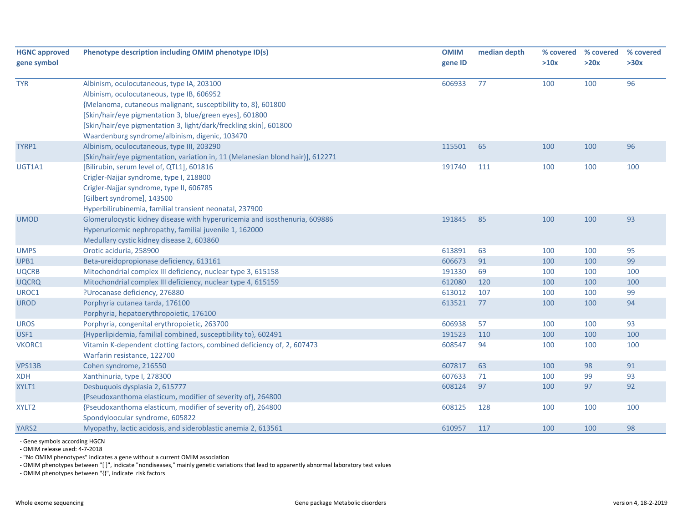| <b>HGNC approved</b><br>gene symbol | Phenotype description including OMIM phenotype ID(s)                                                                                                                                                                      | <b>OMIM</b><br>gene ID | median depth | % covered<br>>10x | % covered<br>>20x | % covered<br>>30x |
|-------------------------------------|---------------------------------------------------------------------------------------------------------------------------------------------------------------------------------------------------------------------------|------------------------|--------------|-------------------|-------------------|-------------------|
| <b>TYR</b>                          | Albinism, oculocutaneous, type IA, 203100<br>Albinism, oculocutaneous, type IB, 606952<br>{Melanoma, cutaneous malignant, susceptibility to, 8}, 601800<br>[Skin/hair/eye pigmentation 3, blue/green eyes], 601800        | 606933                 | 77           | 100               | 100               | 96                |
|                                     | [Skin/hair/eye pigmentation 3, light/dark/freckling skin], 601800<br>Waardenburg syndrome/albinism, digenic, 103470                                                                                                       |                        |              |                   |                   |                   |
| TYRP1                               | Albinism, oculocutaneous, type III, 203290<br>[Skin/hair/eye pigmentation, variation in, 11 (Melanesian blond hair)], 612271                                                                                              | 115501                 | 65           | 100               | 100               | 96                |
| UGT1A1                              | [Bilirubin, serum level of, QTL1], 601816<br>Crigler-Najjar syndrome, type I, 218800<br>Crigler-Najjar syndrome, type II, 606785<br>[Gilbert syndrome], 143500<br>Hyperbilirubinemia, familial transient neonatal, 237900 | 191740                 | 111          | 100               | 100               | 100               |
| <b>UMOD</b>                         | Glomerulocystic kidney disease with hyperuricemia and isosthenuria, 609886<br>Hyperuricemic nephropathy, familial juvenile 1, 162000<br>Medullary cystic kidney disease 2, 603860                                         | 191845                 | 85           | 100               | 100               | 93                |
| <b>UMPS</b>                         | Orotic aciduria, 258900                                                                                                                                                                                                   | 613891                 | 63           | 100               | 100               | 95                |
| UPB1                                | Beta-ureidopropionase deficiency, 613161                                                                                                                                                                                  | 606673                 | 91           | 100               | 100               | 99                |
| <b>UQCRB</b>                        | Mitochondrial complex III deficiency, nuclear type 3, 615158                                                                                                                                                              | 191330                 | 69           | 100               | 100               | 100               |
| <b>UQCRQ</b>                        | Mitochondrial complex III deficiency, nuclear type 4, 615159                                                                                                                                                              | 612080                 | 120          | 100               | 100               | 100               |
| UROC1                               | ?Urocanase deficiency, 276880                                                                                                                                                                                             | 613012                 | 107          | 100               | 100               | 99                |
| <b>UROD</b>                         | Porphyria cutanea tarda, 176100<br>Porphyria, hepatoerythropoietic, 176100                                                                                                                                                | 613521                 | 77           | 100               | 100               | 94                |
| <b>UROS</b>                         | Porphyria, congenital erythropoietic, 263700                                                                                                                                                                              | 606938                 | 57           | 100               | 100               | 93                |
| USF1                                | {Hyperlipidemia, familial combined, susceptibility to}, 602491                                                                                                                                                            | 191523                 | 110          | 100               | 100               | 100               |
| VKORC1                              | Vitamin K-dependent clotting factors, combined deficiency of, 2, 607473<br>Warfarin resistance, 122700                                                                                                                    | 608547                 | 94           | 100               | 100               | 100               |
| <b>VPS13B</b>                       | Cohen syndrome, 216550                                                                                                                                                                                                    | 607817                 | 63           | 100               | 98                | 91                |
| <b>XDH</b>                          | Xanthinuria, type I, 278300                                                                                                                                                                                               | 607633                 | 71           | 100               | 99                | 93                |
| XYLT1                               | Desbuquois dysplasia 2, 615777<br>{Pseudoxanthoma elasticum, modifier of severity of}, 264800                                                                                                                             | 608124                 | 97           | 100               | 97                | 92                |
| XYLT <sub>2</sub>                   | {Pseudoxanthoma elasticum, modifier of severity of}, 264800<br>Spondyloocular syndrome, 605822                                                                                                                            | 608125                 | 128          | 100               | 100               | 100               |
| YARS2                               | Myopathy, lactic acidosis, and sideroblastic anemia 2, 613561                                                                                                                                                             | 610957                 | 117          | 100               | 100               | 98                |

‐ Gene symbols according HGCN

‐ OMIM release used: 4‐7‐2018

‐ "No OMIM phenotypes" indicates <sup>a</sup> gene without <sup>a</sup> current OMIM association

‐ OMIM phenotypes between "[ ]", indicate "nondiseases," mainly genetic variations that lead to apparently abnormal laboratory test values

‐ OMIM phenotypes between "{}", indicate risk factors